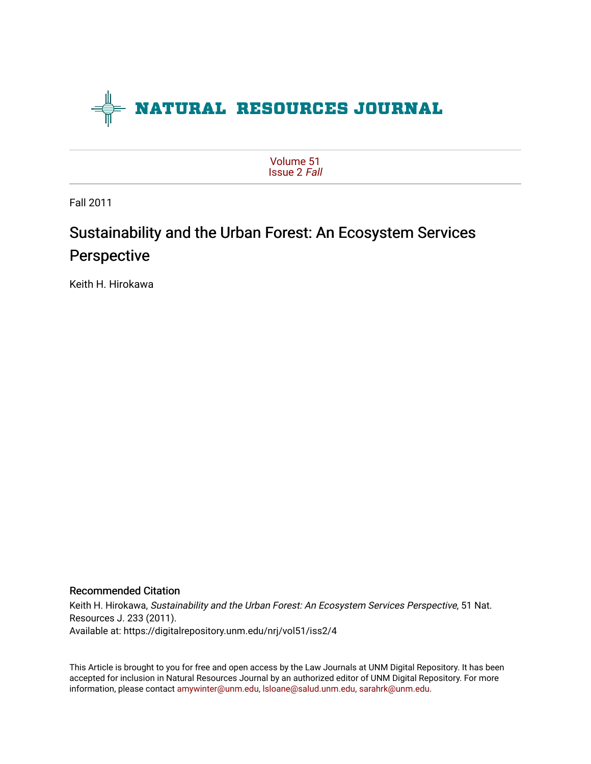

[Volume 51](https://digitalrepository.unm.edu/nrj/vol51) [Issue 2](https://digitalrepository.unm.edu/nrj/vol51/iss2) Fall

Fall 2011

# Sustainability and the Urban Forest: An Ecosystem Services Perspective

Keith H. Hirokawa

# Recommended Citation

Keith H. Hirokawa, Sustainability and the Urban Forest: An Ecosystem Services Perspective, 51 Nat. Resources J. 233 (2011). Available at: https://digitalrepository.unm.edu/nrj/vol51/iss2/4

This Article is brought to you for free and open access by the Law Journals at UNM Digital Repository. It has been accepted for inclusion in Natural Resources Journal by an authorized editor of UNM Digital Repository. For more information, please contact [amywinter@unm.edu, lsloane@salud.unm.edu, sarahrk@unm.edu](mailto:amywinter@unm.edu,%20lsloane@salud.unm.edu,%20sarahrk@unm.edu).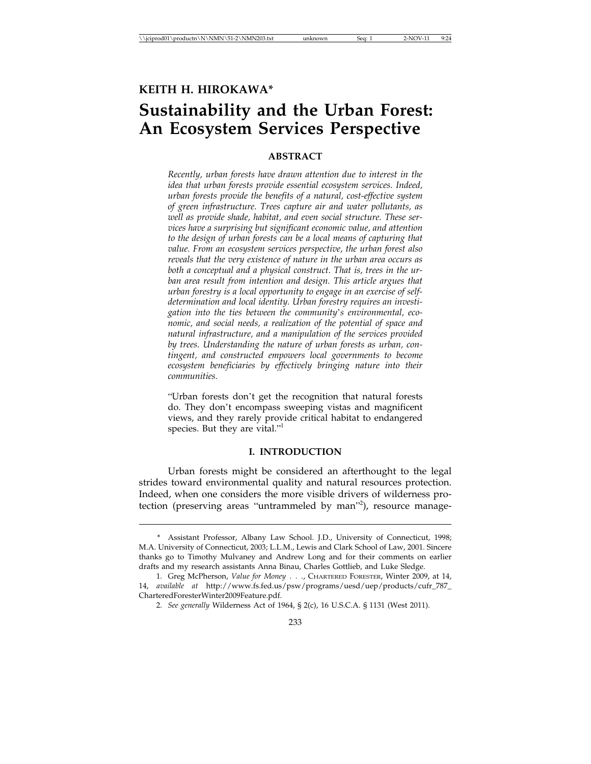# **KEITH H. HIROKAWA\***

# **Sustainability and the Urban Forest: An Ecosystem Services Perspective**

#### **ABSTRACT**

*Recently, urban forests have drawn attention due to interest in the idea that urban forests provide essential ecosystem services. Indeed, urban forests provide the benefits of a natural, cost-effective system of green infrastructure. Trees capture air and water pollutants, as well as provide shade, habitat, and even social structure. These services have a surprising but significant economic value, and attention to the design of urban forests can be a local means of capturing that value. From an ecosystem services perspective, the urban forest also reveals that the very existence of nature in the urban area occurs as both a conceptual and a physical construct. That is, trees in the urban area result from intention and design. This article argues that urban forestry is a local opportunity to engage in an exercise of selfdetermination and local identity. Urban forestry requires an investigation into the ties between the community*'*s environmental, economic, and social needs, a realization of the potential of space and natural infrastructure, and a manipulation of the services provided by trees. Understanding the nature of urban forests as urban, contingent, and constructed empowers local governments to become ecosystem beneficiaries by effectively bringing nature into their communities.*

"Urban forests don't get the recognition that natural forests do. They don't encompass sweeping vistas and magnificent views, and they rarely provide critical habitat to endangered species. But they are vital."<sup>1</sup>

# **I. INTRODUCTION**

Urban forests might be considered an afterthought to the legal strides toward environmental quality and natural resources protection. Indeed, when one considers the more visible drivers of wilderness protection (preserving areas "untrammeled by man"<sup>2</sup>), resource manage-

233

<sup>\*</sup> Assistant Professor, Albany Law School. J.D., University of Connecticut, 1998; M.A. University of Connecticut, 2003; L.L.M., Lewis and Clark School of Law, 2001. Sincere thanks go to Timothy Mulvaney and Andrew Long and for their comments on earlier drafts and my research assistants Anna Binau, Charles Gottlieb, and Luke Sledge.

<sup>1.</sup> Greg McPherson, *Value for Money...*, CHARTERED FORESTER, Winter 2009, at 14, 14, *available at* http://www.fs.fed.us/psw/programs/uesd/uep/products/cufr\_787\_ CharteredForesterWinter2009Feature.pdf.

<sup>2.</sup> *See generally* Wilderness Act of 1964, § 2(c), 16 U.S.C.A. § 1131 (West 2011).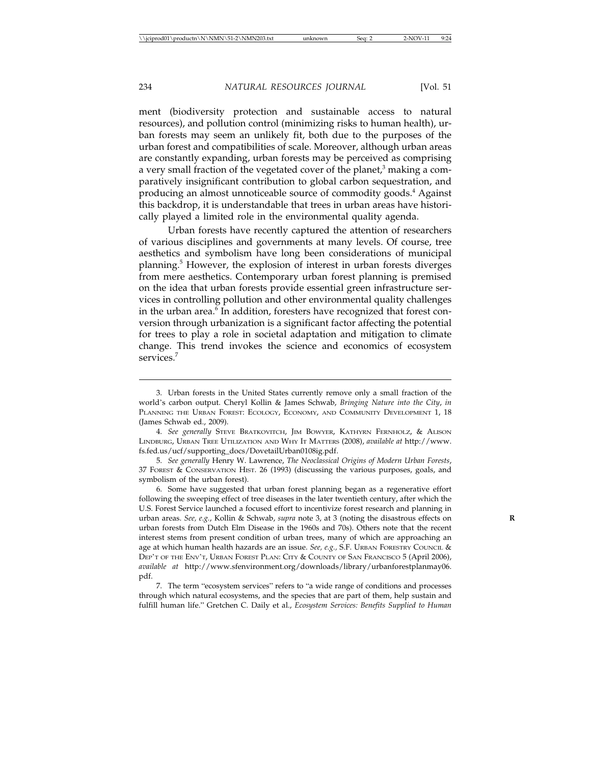ment (biodiversity protection and sustainable access to natural resources), and pollution control (minimizing risks to human health), urban forests may seem an unlikely fit, both due to the purposes of the urban forest and compatibilities of scale. Moreover, although urban areas are constantly expanding, urban forests may be perceived as comprising a very small fraction of the vegetated cover of the planet,<sup>3</sup> making a comparatively insignificant contribution to global carbon sequestration, and producing an almost unnoticeable source of commodity goods.<sup>4</sup> Against this backdrop, it is understandable that trees in urban areas have historically played a limited role in the environmental quality agenda.

Urban forests have recently captured the attention of researchers of various disciplines and governments at many levels. Of course, tree aesthetics and symbolism have long been considerations of municipal planning.<sup>5</sup> However, the explosion of interest in urban forests diverges from mere aesthetics. Contemporary urban forest planning is premised on the idea that urban forests provide essential green infrastructure services in controlling pollution and other environmental quality challenges in the urban area.<sup>6</sup> In addition, foresters have recognized that forest conversion through urbanization is a significant factor affecting the potential for trees to play a role in societal adaptation and mitigation to climate change. This trend invokes the science and economics of ecosystem services.<sup>7</sup>

<sup>3.</sup> Urban forests in the United States currently remove only a small fraction of the world's carbon output. Cheryl Kollin & James Schwab, *Bringing Nature into the City*, *in* PLANNING THE URBAN FOREST: ECOLOGY, ECONOMY, AND COMMUNITY DEVELOPMENT 1, 18 (James Schwab ed., 2009).

<sup>4.</sup> *See generally* STEVE BRATKOVITCH, JIM BOWYER, KATHYRN FERNHOLZ, & ALISON LINDBURG, URBAN TREE UTILIZATION AND WHY IT MATTERS (2008), *available at* http://www. fs.fed.us/ucf/supporting\_docs/DovetailUrban0108ig.pdf.

<sup>5.</sup> *See generally* Henry W. Lawrence, *The Neoclassical Origins of Modern Urban Forests*, 37 FOREST & CONSERVATION HIST. 26 (1993) (discussing the various purposes, goals, and symbolism of the urban forest).

<sup>6.</sup> Some have suggested that urban forest planning began as a regenerative effort following the sweeping effect of tree diseases in the later twentieth century, after which the U.S. Forest Service launched a focused effort to incentivize forest research and planning in urban areas. *See, e.g.*, Kollin & Schwab, *supra* note 3, at 3 (noting the disastrous effects on **R** urban forests from Dutch Elm Disease in the 1960s and 70s). Others note that the recent interest stems from present condition of urban trees, many of which are approaching an age at which human health hazards are an issue. *See, e.g.,* S.F. URBAN FORESTRY COUNCIL & DEP'T OF THE ENV'T, URBAN FOREST PLAN: CITY & COUNTY OF SAN FRANCISCO 5 (April 2006), *available at* http://www.sfenvironment.org/downloads/library/urbanforestplanmay06. pdf.

<sup>7.</sup> The term "ecosystem services" refers to "a wide range of conditions and processes through which natural ecosystems, and the species that are part of them, help sustain and fulfill human life." Gretchen C. Daily et al., *Ecosystem Services: Benefits Supplied to Human*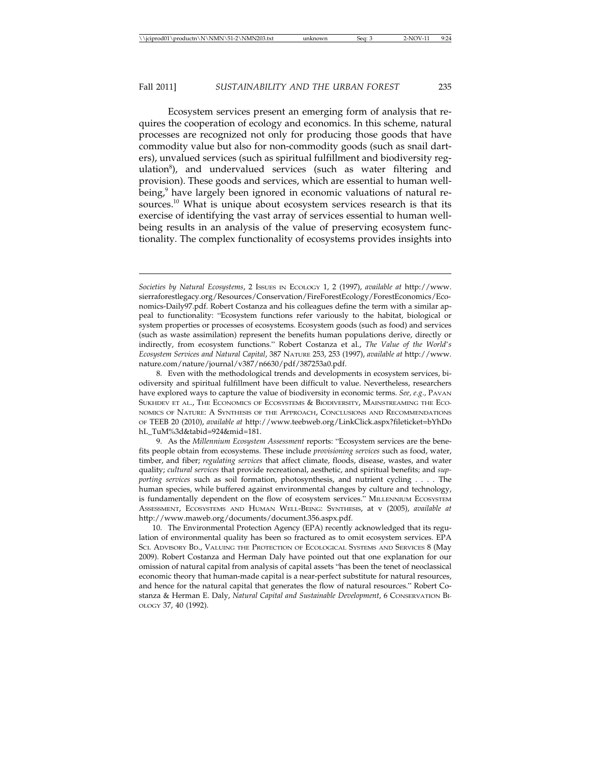Ecosystem services present an emerging form of analysis that requires the cooperation of ecology and economics. In this scheme, natural processes are recognized not only for producing those goods that have commodity value but also for non-commodity goods (such as snail darters), unvalued services (such as spiritual fulfillment and biodiversity regulation<sup>8</sup>), and undervalued services (such as water filtering and provision). These goods and services, which are essential to human wellbeing,<sup>9</sup> have largely been ignored in economic valuations of natural resources.10 What is unique about ecosystem services research is that its exercise of identifying the vast array of services essential to human wellbeing results in an analysis of the value of preserving ecosystem functionality. The complex functionality of ecosystems provides insights into

10. The Environmental Protection Agency (EPA) recently acknowledged that its regulation of environmental quality has been so fractured as to omit ecosystem services. EPA SCI. ADVISORY BD., VALUING THE PROTECTION OF ECOLOGICAL SYSTEMS AND SERVICES 8 (May 2009). Robert Costanza and Herman Daly have pointed out that one explanation for our omission of natural capital from analysis of capital assets "has been the tenet of neoclassical economic theory that human-made capital is a near-perfect substitute for natural resources, and hence for the natural capital that generates the flow of natural resources." Robert Costanza & Herman E. Daly, *Natural Capital and Sustainable Development*, 6 CONSERVATION BI-OLOGY 37, 40 (1992).

*Societies by Natural Ecosystems*, 2 ISSUES IN ECOLOGY 1, 2 (1997), *available at* http://www. sierraforestlegacy.org/Resources/Conservation/FireForestEcology/ForestEconomics/Economics-Daily97.pdf. Robert Costanza and his colleagues define the term with a similar appeal to functionality: "Ecosystem functions refer variously to the habitat, biological or system properties or processes of ecosystems. Ecosystem goods (such as food) and services (such as waste assimilation) represent the benefits human populations derive, directly or indirectly, from ecosystem functions." Robert Costanza et al., *The Value of the World*'*s Ecosystem Services and Natural Capital*, 387 NATURE 253, 253 (1997), *available at* http://www. nature.com/nature/journal/v387/n6630/pdf/387253a0.pdf.

<sup>8.</sup> Even with the methodological trends and developments in ecosystem services, biodiversity and spiritual fulfillment have been difficult to value. Nevertheless, researchers have explored ways to capture the value of biodiversity in economic terms. *See, e.g.,* PAVAN SUKHDEV ET AL., THE ECONOMICS OF ECOSYSTEMS & BIODIVERSITY, MAINSTREAMING THE ECO-NOMICS OF NATURE: A SYNTHESIS OF THE APPROACH, CONCLUSIONS AND RECOMMENDATIONS OF TEEB 20 (2010), *available at* http://www.teebweb.org/LinkClick.aspx?fileticket=bYhDo hL\_TuM%3d&tabid=924&mid=181.

<sup>9.</sup> As the *Millennium Ecosystem Assessment* reports: "Ecosystem services are the benefits people obtain from ecosystems. These include *provisioning services* such as food, water, timber, and fiber; *regulating services* that affect climate, floods, disease, wastes, and water quality; *cultural services* that provide recreational, aesthetic, and spiritual benefits; and *supporting services* such as soil formation, photosynthesis, and nutrient cycling . . . . The human species, while buffered against environmental changes by culture and technology, is fundamentally dependent on the flow of ecosystem services." MILLENNIUM ECOSYSTEM ASSESSMENT, ECOSYSTEMS AND HUMAN WELL-BEING: SYNTHESIS, at v (2005), *available at* http://www.maweb.org/documents/document.356.aspx.pdf.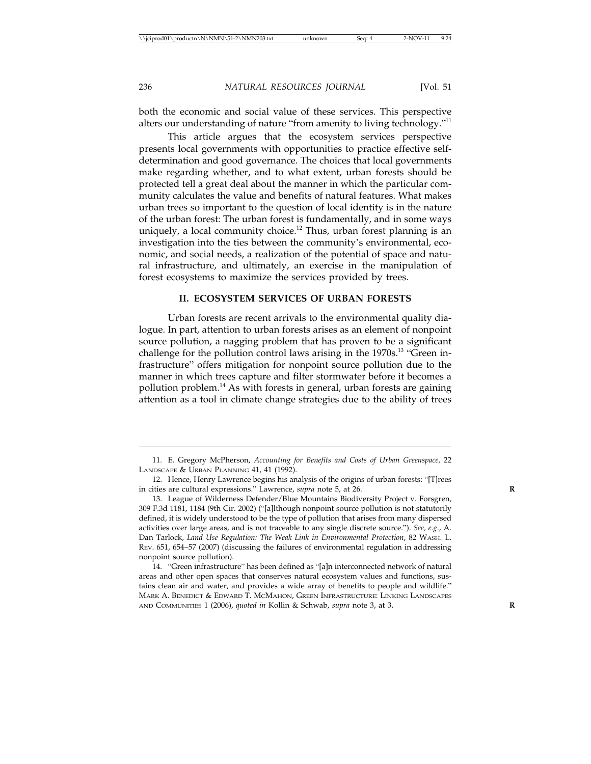both the economic and social value of these services. This perspective alters our understanding of nature "from amenity to living technology."<sup>11</sup>

This article argues that the ecosystem services perspective presents local governments with opportunities to practice effective selfdetermination and good governance. The choices that local governments make regarding whether, and to what extent, urban forests should be protected tell a great deal about the manner in which the particular community calculates the value and benefits of natural features. What makes urban trees so important to the question of local identity is in the nature of the urban forest: The urban forest is fundamentally, and in some ways uniquely, a local community choice.<sup>12</sup> Thus, urban forest planning is an investigation into the ties between the community's environmental, economic, and social needs, a realization of the potential of space and natural infrastructure, and ultimately, an exercise in the manipulation of forest ecosystems to maximize the services provided by trees.

# **II. ECOSYSTEM SERVICES OF URBAN FORESTS**

Urban forests are recent arrivals to the environmental quality dialogue. In part, attention to urban forests arises as an element of nonpoint source pollution, a nagging problem that has proven to be a significant challenge for the pollution control laws arising in the 1970s.<sup>13</sup> "Green infrastructure" offers mitigation for nonpoint source pollution due to the manner in which trees capture and filter stormwater before it becomes a pollution problem.14 As with forests in general, urban forests are gaining attention as a tool in climate change strategies due to the ability of trees

<sup>11.</sup> E. Gregory McPherson, *Accounting for Benefits and Costs of Urban Greenspace,* 22 LANDSCAPE & URBAN PLANNING 41, 41 (1992).

<sup>12.</sup> Hence, Henry Lawrence begins his analysis of the origins of urban forests: "[T]rees in cities are cultural expressions." Lawrence, *supra* note 5, at 26. **R**

<sup>13.</sup> League of Wilderness Defender/Blue Mountains Biodiversity Project v. Forsgren, 309 F.3d 1181, 1184 (9th Cir. 2002) ("[a]lthough nonpoint source pollution is not statutorily defined, it is widely understood to be the type of pollution that arises from many dispersed activities over large areas, and is not traceable to any single discrete source."). *See, e.g.*, A. Dan Tarlock, *Land Use Regulation: The Weak Link in Environmental Protection*, 82 WASH. L. REV. 651, 654–57 (2007) (discussing the failures of environmental regulation in addressing nonpoint source pollution).

<sup>14.</sup> "Green infrastructure" has been defined as "[a]n interconnected network of natural areas and other open spaces that conserves natural ecosystem values and functions, sustains clean air and water, and provides a wide array of benefits to people and wildlife." MARK A. BENEDICT & EDWARD T. MCMAHON, GREEN INFRASTRUCTURE: LINKING LANDSCAPES AND COMMUNITIES 1 (2006), *quoted in* Kollin & Schwab, *supra* note 3, at 3. **R**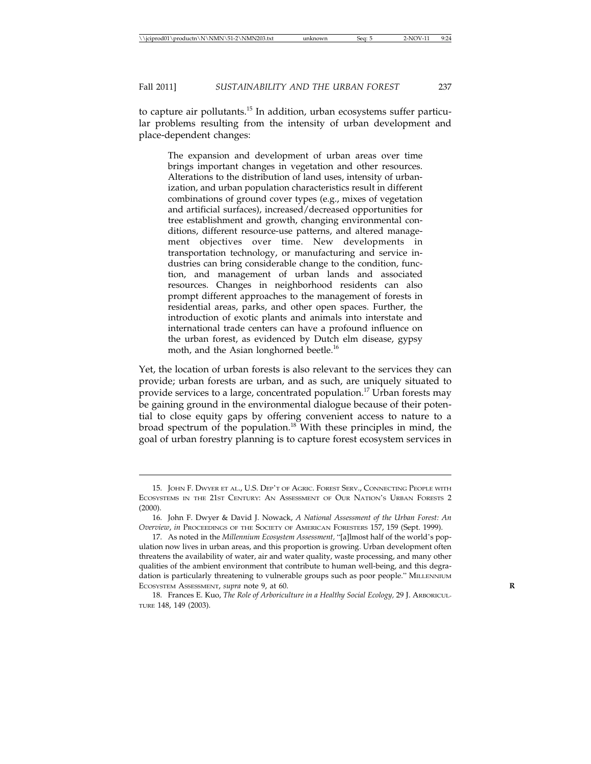to capture air pollutants.<sup>15</sup> In addition, urban ecosystems suffer particular problems resulting from the intensity of urban development and place-dependent changes:

The expansion and development of urban areas over time brings important changes in vegetation and other resources. Alterations to the distribution of land uses, intensity of urbanization, and urban population characteristics result in different combinations of ground cover types (e.g., mixes of vegetation and artificial surfaces), increased/decreased opportunities for tree establishment and growth, changing environmental conditions, different resource-use patterns, and altered management objectives over time. New developments in transportation technology, or manufacturing and service industries can bring considerable change to the condition, function, and management of urban lands and associated resources. Changes in neighborhood residents can also prompt different approaches to the management of forests in residential areas, parks, and other open spaces. Further, the introduction of exotic plants and animals into interstate and international trade centers can have a profound influence on the urban forest, as evidenced by Dutch elm disease, gypsy moth, and the Asian longhorned beetle.<sup>16</sup>

Yet, the location of urban forests is also relevant to the services they can provide; urban forests are urban, and as such, are uniquely situated to provide services to a large, concentrated population.<sup>17</sup> Urban forests may be gaining ground in the environmental dialogue because of their potential to close equity gaps by offering convenient access to nature to a broad spectrum of the population.<sup>18</sup> With these principles in mind, the goal of urban forestry planning is to capture forest ecosystem services in

<sup>15.</sup> JOHN F. DWYER ET AL., U.S. DEP'T OF AGRIC. FOREST SERV., CONNECTING PEOPLE WITH ECOSYSTEMS IN THE 21ST CENTURY: AN ASSESSMENT OF OUR NATION'S URBAN FORESTS 2 (2000).

<sup>16.</sup> John F. Dwyer & David J. Nowack, *A National Assessment of the Urban Forest: An Overview*, *in* PROCEEDINGS OF THE SOCIETY OF AMERICAN FORESTERS 157, 159 (Sept. 1999).

<sup>17.</sup> As noted in the *Millennium Ecosystem Assessment,* "[a]lmost half of the world's population now lives in urban areas, and this proportion is growing. Urban development often threatens the availability of water, air and water quality, waste processing, and many other qualities of the ambient environment that contribute to human well-being, and this degradation is particularly threatening to vulnerable groups such as poor people." MILLENNIUM ECOSYSTEM ASSESSMENT, *supra* note 9, at 60. **R**

<sup>18.</sup> Frances E. Kuo, *The Role of Arboriculture in a Healthy Social Ecology,* 29 J. ARBORICUL-TURE 148, 149 (2003).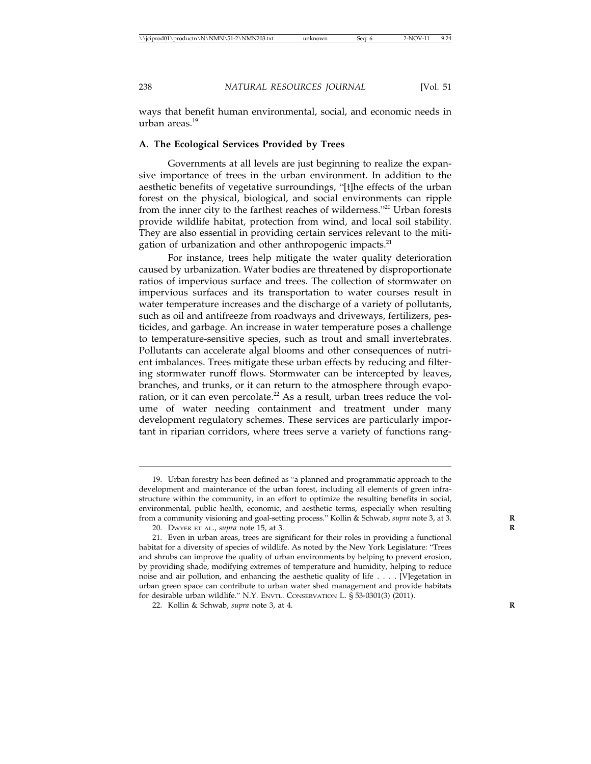ways that benefit human environmental, social, and economic needs in urban areas.19

# **A. The Ecological Services Provided by Trees**

Governments at all levels are just beginning to realize the expansive importance of trees in the urban environment. In addition to the aesthetic benefits of vegetative surroundings, "[t]he effects of the urban forest on the physical, biological, and social environments can ripple from the inner city to the farthest reaches of wilderness."20 Urban forests provide wildlife habitat, protection from wind, and local soil stability. They are also essential in providing certain services relevant to the mitigation of urbanization and other anthropogenic impacts. $^{21}$ 

For instance, trees help mitigate the water quality deterioration caused by urbanization. Water bodies are threatened by disproportionate ratios of impervious surface and trees. The collection of stormwater on impervious surfaces and its transportation to water courses result in water temperature increases and the discharge of a variety of pollutants, such as oil and antifreeze from roadways and driveways, fertilizers, pesticides, and garbage. An increase in water temperature poses a challenge to temperature-sensitive species, such as trout and small invertebrates. Pollutants can accelerate algal blooms and other consequences of nutrient imbalances. Trees mitigate these urban effects by reducing and filtering stormwater runoff flows. Stormwater can be intercepted by leaves, branches, and trunks, or it can return to the atmosphere through evaporation, or it can even percolate.<sup>22</sup> As a result, urban trees reduce the volume of water needing containment and treatment under many development regulatory schemes. These services are particularly important in riparian corridors, where trees serve a variety of functions rang-

<sup>19.</sup> Urban forestry has been defined as "a planned and programmatic approach to the development and maintenance of the urban forest, including all elements of green infrastructure within the community, in an effort to optimize the resulting benefits in social, environmental, public health, economic, and aesthetic terms, especially when resulting from a community visioning and goal-setting process." Kollin & Schwab, *supra* note 3, at 3. **R**

<sup>20.</sup> DWYER ET AL., *supra* note 15, at 3. **R**

<sup>21.</sup> Even in urban areas, trees are significant for their roles in providing a functional habitat for a diversity of species of wildlife. As noted by the New York Legislature: "Trees and shrubs can improve the quality of urban environments by helping to prevent erosion, by providing shade, modifying extremes of temperature and humidity, helping to reduce noise and air pollution, and enhancing the aesthetic quality of life . . . . [V]egetation in urban green space can contribute to urban water shed management and provide habitats for desirable urban wildlife." N.Y. ENVTL. CONSERVATION L. § 53-0301(3) (2011).

<sup>22.</sup> Kollin & Schwab, *supra* note 3, at 4. **R**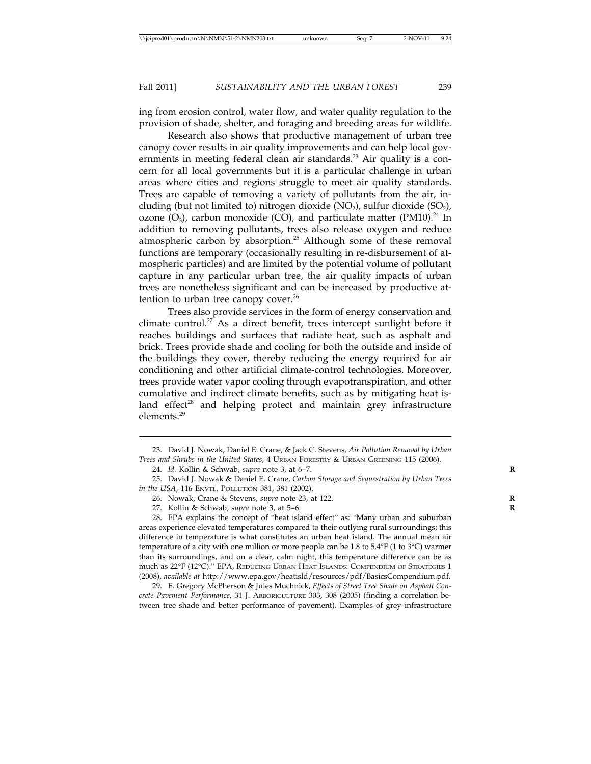ing from erosion control, water flow, and water quality regulation to the provision of shade, shelter, and foraging and breeding areas for wildlife.

Research also shows that productive management of urban tree canopy cover results in air quality improvements and can help local governments in meeting federal clean air standards.<sup>23</sup> Air quality is a concern for all local governments but it is a particular challenge in urban areas where cities and regions struggle to meet air quality standards. Trees are capable of removing a variety of pollutants from the air, including (but not limited to) nitrogen dioxide  $(NO_2)$ , sulfur dioxide  $(SO_2)$ , ozone  $(O_3)$ , carbon monoxide (CO), and particulate matter (PM10).<sup>24</sup> In addition to removing pollutants, trees also release oxygen and reduce atmospheric carbon by absorption.25 Although some of these removal functions are temporary (occasionally resulting in re-disbursement of atmospheric particles) and are limited by the potential volume of pollutant capture in any particular urban tree, the air quality impacts of urban trees are nonetheless significant and can be increased by productive attention to urban tree canopy cover.<sup>26</sup>

Trees also provide services in the form of energy conservation and climate control.<sup>27</sup> As a direct benefit, trees intercept sunlight before it reaches buildings and surfaces that radiate heat, such as asphalt and brick. Trees provide shade and cooling for both the outside and inside of the buildings they cover, thereby reducing the energy required for air conditioning and other artificial climate-control technologies. Moreover, trees provide water vapor cooling through evapotranspiration, and other cumulative and indirect climate benefits, such as by mitigating heat island effect<sup>28</sup> and helping protect and maintain grey infrastructure elements.<sup>29</sup>

29. E. Gregory McPherson & Jules Muchnick, *Effects of Street Tree Shade on Asphalt Concrete Pavement Performance*, 31 J. ARBORICULTURE 303, 308 (2005) (finding a correlation between tree shade and better performance of pavement). Examples of grey infrastructure

<sup>23.</sup> David J. Nowak, Daniel E. Crane, & Jack C. Stevens, *Air Pollution Removal by Urban Trees and Shrubs in the United States*, 4 URBAN FORESTRY & URBAN GREENING 115 (2006).

<sup>24.</sup> *Id*. Kollin & Schwab, *supra* note 3, at 6–7. **R**

<sup>25.</sup> David J. Nowak & Daniel E. Crane, *Carbon Storage and Sequestration by Urban Trees in the USA*, 116 ENVTL. POLLUTION 381, 381 (2002).

<sup>26.</sup> Nowak, Crane & Stevens, *supra* note 23, at 122. **R**

<sup>27.</sup> Kollin & Schwab, *supra* note 3, at 5–6. **R**

<sup>28.</sup> EPA explains the concept of "heat island effect" as: "Many urban and suburban areas experience elevated temperatures compared to their outlying rural surroundings; this difference in temperature is what constitutes an urban heat island. The annual mean air temperature of a city with one million or more people can be 1.8 to 5.4°F (1 to 3°C) warmer than its surroundings, and on a clear, calm night, this temperature difference can be as much as 22°F (12°C)." EPA, REDUCING URBAN HEAT ISLANDS: COMPENDIUM OF STRATEGIES 1 (2008), *available at* http://www.epa.gov/heatisld/resources/pdf/BasicsCompendium.pdf.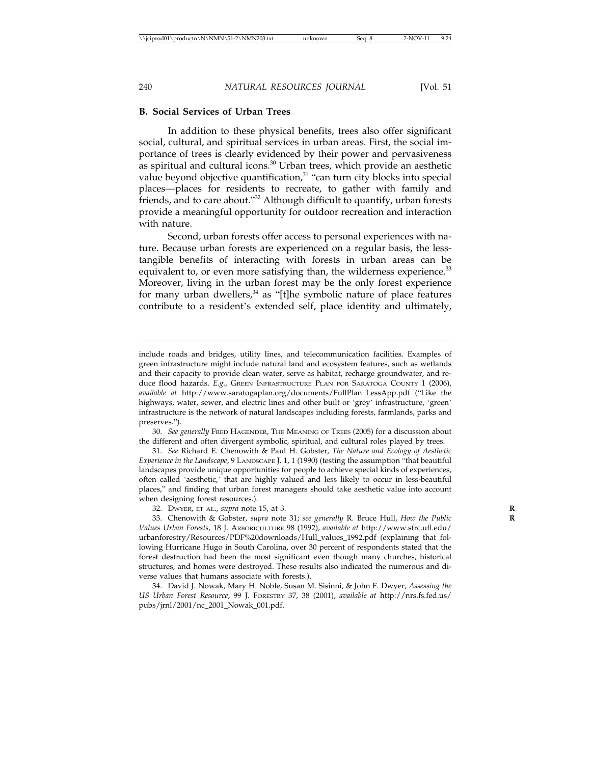# **B. Social Services of Urban Trees**

In addition to these physical benefits, trees also offer significant social, cultural, and spiritual services in urban areas. First, the social importance of trees is clearly evidenced by their power and pervasiveness as spiritual and cultural icons.<sup>30</sup> Urban trees, which provide an aesthetic value beyond objective quantification,<sup>31</sup> "can turn city blocks into special places—places for residents to recreate, to gather with family and friends, and to care about."32 Although difficult to quantify, urban forests provide a meaningful opportunity for outdoor recreation and interaction with nature.

Second, urban forests offer access to personal experiences with nature. Because urban forests are experienced on a regular basis, the lesstangible benefits of interacting with forests in urban areas can be equivalent to, or even more satisfying than, the wilderness experience.<sup>33</sup> Moreover, living in the urban forest may be the only forest experience for many urban dwellers, $34$  as "[t]he symbolic nature of place features contribute to a resident's extended self, place identity and ultimately,

30. *See generally* FRED HAGENDER, THE MEANING OF TREES (2005) for a discussion about the different and often divergent symbolic, spiritual, and cultural roles played by trees.

31. *See* Richard E. Chenowith & Paul H. Gobster, *The Nature and Ecology of Aesthetic Experience in the Landscape*, 9 LANDSCAPE J. 1, 1 (1990) (testing the assumption "that beautiful landscapes provide unique opportunities for people to achieve special kinds of experiences, often called 'aesthetic,' that are highly valued and less likely to occur in less-beautiful places," and finding that urban forest managers should take aesthetic value into account when designing forest resources.).

32. DWYER, ET AL., *supra* note 15, at 3. **R**

33. Chenowith & Gobster, *supra* note 31; *see generally* R. Bruce Hull, *How the Public* **R** *Values Urban Forests*, 18 J. ARBORICULTURE 98 (1992), *available at* http://www.sfrc.ufl.edu/ urbanforestry/Resources/PDF%20downloads/Hull\_values\_1992.pdf (explaining that following Hurricane Hugo in South Carolina, over 30 percent of respondents stated that the forest destruction had been the most significant even though many churches, historical structures, and homes were destroyed. These results also indicated the numerous and diverse values that humans associate with forests.).

34. David J. Nowak, Mary H. Noble, Susan M. Sisinni, & John F. Dwyer, *Assessing the US Urban Forest Resource*, 99 J. FORESTRY 37, 38 (2001), *available at* http://nrs.fs.fed.us/ pubs/jrnl/2001/nc\_2001\_Nowak\_001.pdf.

include roads and bridges, utility lines, and telecommunication facilities. Examples of green infrastructure might include natural land and ecosystem features, such as wetlands and their capacity to provide clean water, serve as habitat, recharge groundwater, and reduce flood hazards. *E.g.,* GREEN INFRASTRUCTURE PLAN FOR SARATOGA COUNTY 1 (2006), *available at* http://www.saratogaplan.org/documents/FullPlan\_LessApp.pdf ("Like the highways, water, sewer, and electric lines and other built or 'grey' infrastructure, 'green' infrastructure is the network of natural landscapes including forests, farmlands, parks and preserves.").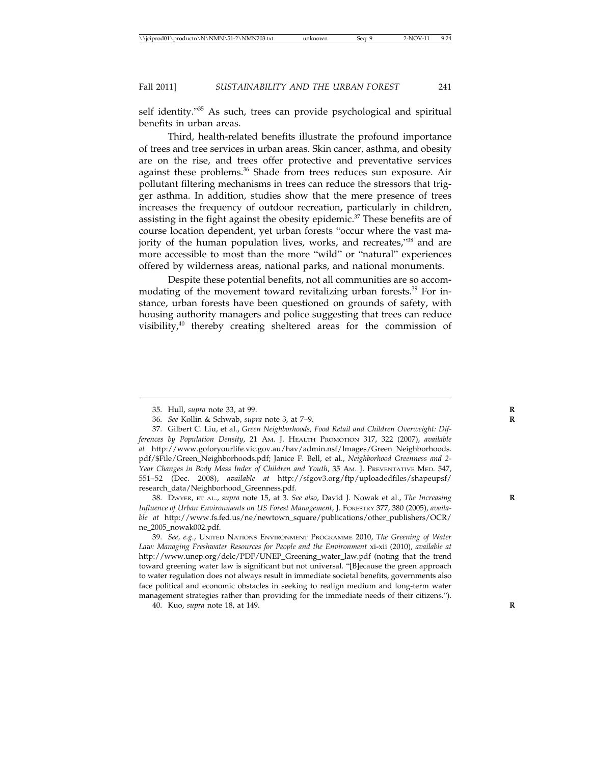self identity."35 As such, trees can provide psychological and spiritual benefits in urban areas.

Third, health-related benefits illustrate the profound importance of trees and tree services in urban areas. Skin cancer, asthma, and obesity are on the rise, and trees offer protective and preventative services against these problems.<sup>36</sup> Shade from trees reduces sun exposure. Air pollutant filtering mechanisms in trees can reduce the stressors that trigger asthma. In addition, studies show that the mere presence of trees increases the frequency of outdoor recreation, particularly in children, assisting in the fight against the obesity epidemic.<sup>37</sup> These benefits are of course location dependent, yet urban forests "occur where the vast majority of the human population lives, works, and recreates,"38 and are more accessible to most than the more "wild" or "natural" experiences offered by wilderness areas, national parks, and national monuments.

Despite these potential benefits, not all communities are so accommodating of the movement toward revitalizing urban forests.<sup>39</sup> For instance, urban forests have been questioned on grounds of safety, with housing authority managers and police suggesting that trees can reduce visibility, $40$  thereby creating sheltered areas for the commission of

38. DWYER, ET AL., *supra* note 15, at 3. *See also*, David J. Nowak et al., *The Increasing* **R** *Influence of Urban Environments on US Forest Management*, J. FORESTRY 377, 380 (2005), *available at* http://www.fs.fed.us/ne/newtown\_square/publications/other\_publishers/OCR/ ne\_2005\_nowak002.pdf.

39. *See, e.g.*, UNITED NATIONS ENVIRONMENT PROGRAMME 2010, *The Greening of Water Law: Managing Freshwater Resources for People and the Environment* xi-xii (2010), *available at* http://www.unep.org/delc/PDF/UNEP\_Greening\_water\_law.pdf (noting that the trend toward greening water law is significant but not universal. "[B]ecause the green approach to water regulation does not always result in immediate societal benefits, governments also face political and economic obstacles in seeking to realign medium and long-term water management strategies rather than providing for the immediate needs of their citizens.").

40. Kuo, *supra* note 18, at 149. **R**

<sup>35.</sup> Hull, *supra* note 33, at 99. **R**

<sup>36.</sup> *See* Kollin & Schwab, *supra* note 3, at 7–9. **R**

<sup>37.</sup> Gilbert C. Liu, et al., *Green Neighborhoods, Food Retail and Children Overweight: Differences by Population Density*, 21 AM. J. HEALTH PROMOTION 317, 322 (2007), *available at* http://www.goforyourlife.vic.gov.au/hav/admin.nsf/Images/Green\_Neighborhoods. pdf/\$File/Green\_Neighborhoods.pdf; Janice F. Bell, et al., *Neighborhood Greenness and 2- Year Changes in Body Mass Index of Children and Youth*, 35 AM. J. PREVENTATIVE MED. 547, 551–52 (Dec. 2008), *available at* http://sfgov3.org/ftp/uploadedfiles/shapeupsf/ research\_data/Neighborhood\_Greenness.pdf.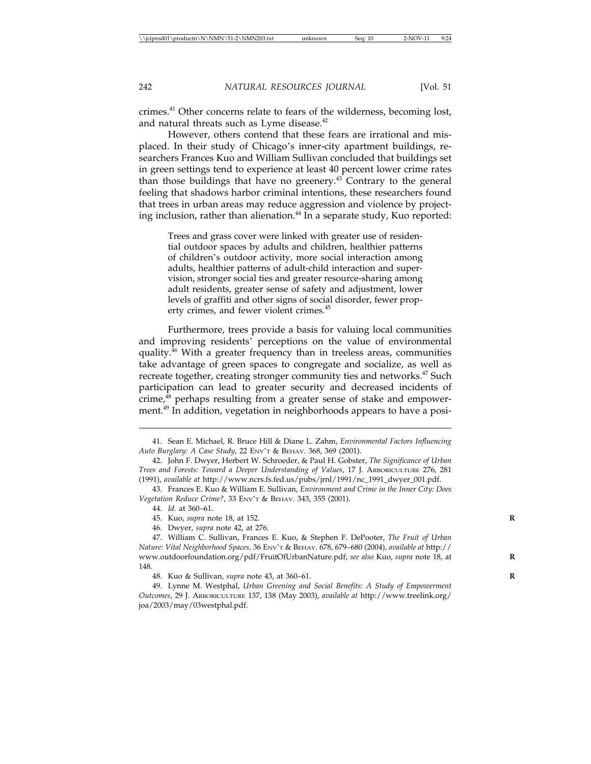crimes.41 Other concerns relate to fears of the wilderness, becoming lost, and natural threats such as Lyme disease.<sup>42</sup>

However, others contend that these fears are irrational and misplaced. In their study of Chicago's inner-city apartment buildings, researchers Frances Kuo and William Sullivan concluded that buildings set in green settings tend to experience at least 40 percent lower crime rates than those buildings that have no greenery.<sup>43</sup> Contrary to the general feeling that shadows harbor criminal intentions, these researchers found that trees in urban areas may reduce aggression and violence by projecting inclusion, rather than alienation.<sup>44</sup> In a separate study, Kuo reported:

Trees and grass cover were linked with greater use of residential outdoor spaces by adults and children, healthier patterns of children's outdoor activity, more social interaction among adults, healthier patterns of adult-child interaction and supervision, stronger social ties and greater resource-sharing among adult residents, greater sense of safety and adjustment, lower levels of graffiti and other signs of social disorder, fewer property crimes, and fewer violent crimes.<sup>45</sup>

Furthermore, trees provide a basis for valuing local communities and improving residents' perceptions on the value of environmental quality. $46$  With a greater frequency than in treeless areas, communities take advantage of green spaces to congregate and socialize, as well as recreate together, creating stronger community ties and networks.<sup>47</sup> Such participation can lead to greater security and decreased incidents of crime,<sup>48</sup> perhaps resulting from a greater sense of stake and empowerment.<sup>49</sup> In addition, vegetation in neighborhoods appears to have a posi-

- 44. *Id.* at 360–61.
- 45. Kuo, *supra* note 18, at 152. **R**
- 46. Dwyer, *supra* note 42, at 276.

48. Kuo & Sullivan, *supra* note 43, at 360–61. **R**

49. Lynne M. Westphal, *Urban Greening and Social Benefits: A Study of Empowerment Outcomes*, 29 J. ARBORICULTURE 137, 138 (May 2003), *available at* http://www.treelink.org/ joa/2003/may/03westphal.pdf.

<sup>41.</sup> Sean E. Michael, R. Bruce Hill & Diane L. Zahm, *Environmental Factors Influencing Auto Burglary: A Case Study*, 22 ENV'T & BEHAV. 368, 369 (2001).

<sup>42.</sup> John F. Dwyer, Herbert W. Schroeder, & Paul H. Gobster, *The Significance of Urban Trees and Forests: Toward a Deeper Understanding of Values*, 17 J. ARBORICULTURE 276, 281 (1991), *available at* http://www.ncrs.fs.fed.us/pubs/jrnl/1991/nc\_1991\_dwyer\_001.pdf.

<sup>43.</sup> Frances E. Kuo & William E. Sullivan, *Environment and Crime in the Inner City: Does Vegetation Reduce Crime?*, 33 ENV'T & BEHAV. 343, 355 (2001).

<sup>47.</sup> William C. Sullivan, Frances E. Kuo, & Stephen F. DePooter, *The Fruit of Urban Nature: Vital Neighborhood Spaces,* 36 ENV'T & BEHAV. 678, 679–680 (2004), *available at* http:// www.outdoorfoundation.org/pdf/FruitOfUrbanNature.pdf; *see also* Kuo, *supra* note 18, at **R** 148.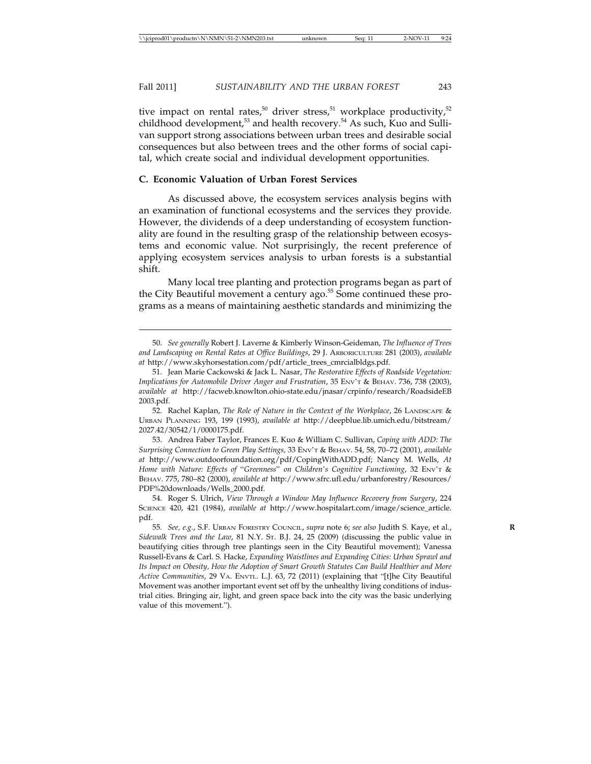tive impact on rental rates,<sup>50</sup> driver stress,<sup>51</sup> workplace productivity,<sup>52</sup> childhood development,<sup>53</sup> and health recovery.<sup>54</sup> As such, Kuo and Sullivan support strong associations between urban trees and desirable social consequences but also between trees and the other forms of social capital, which create social and individual development opportunities.

# **C. Economic Valuation of Urban Forest Services**

As discussed above, the ecosystem services analysis begins with an examination of functional ecosystems and the services they provide. However, the dividends of a deep understanding of ecosystem functionality are found in the resulting grasp of the relationship between ecosystems and economic value. Not surprisingly, the recent preference of applying ecosystem services analysis to urban forests is a substantial shift.

Many local tree planting and protection programs began as part of the City Beautiful movement a century ago.<sup>55</sup> Some continued these programs as a means of maintaining aesthetic standards and minimizing the

<sup>50.</sup> *See generally* Robert J. Laverne & Kimberly Winson-Geideman, *The Influence of Trees and Landscaping on Rental Rates at Office Buildings*, 29 J. ARBORICULTURE 281 (2003), *available at* http://www.skyhorsestation.com/pdf/article\_trees\_cmrcialbldgs.pdf.

<sup>51.</sup> Jean Marie Cackowski & Jack L. Nasar, *The Restorative Effects of Roadside Vegetation: Implications for Automobile Driver Anger and Frustration*, 35 ENV'T & BEHAV. 736, 738 (2003), *available at* http://facweb.knowlton.ohio-state.edu/jnasar/crpinfo/research/RoadsideEB 2003.pdf.

<sup>52.</sup> Rachel Kaplan, *The Role of Nature in the Context of the Workplace*, 26 LANDSCAPE & URBAN PLANNING 193, 199 (1993), *available at* http://deepblue.lib.umich.edu/bitstream/ 2027.42/30542/1/0000175.pdf.

<sup>53.</sup> Andrea Faber Taylor, Frances E. Kuo & William C. Sullivan, *Coping with ADD: The Surprising Connection to Green Play Settings,* 33 ENV'T & BEHAV. 54, 58, 70–72 (2001), *available at* http://www.outdoorfoundation.org/pdf/CopingWithADD.pdf; Nancy M. Wells, *At Home with Nature: Effects of* "*Greenness*" *on Children*'*s Cognitive Functioning*, 32 ENV'T & BEHAV. 775, 780–82 (2000), *available at* http://www.sfrc.ufl.edu/urbanforestry/Resources/ PDF%20downloads/Wells\_2000.pdf.

<sup>54.</sup> Roger S. Ulrich, *View Through a Window May Influence Recovery from Surgery*, 224 SCIENCE 420, 421 (1984), *available at* http://www.hospitalart.com/image/science\_article. pdf.

<sup>55.</sup> *See, e.g.*, S.F. URBAN FORESTRY COUNCIL, *supra* note 6; *see also* Judith S. Kaye, et al., **R** *Sidewalk Trees and the Law*, 81 N.Y. ST. B.J. 24, 25 (2009) (discussing the public value in beautifying cities through tree plantings seen in the City Beautiful movement); Vanessa Russell-Evans & Carl. S. Hacke, *Expanding Waistlines and Expanding Cities: Urban Sprawl and Its Impact on Obesity, How the Adoption of Smart Growth Statutes Can Build Healthier and More Active Communities*, 29 VA. ENVTL. L.J. 63, 72 (2011) (explaining that "[t]he City Beautiful Movement was another important event set off by the unhealthy living conditions of industrial cities. Bringing air, light, and green space back into the city was the basic underlying value of this movement.").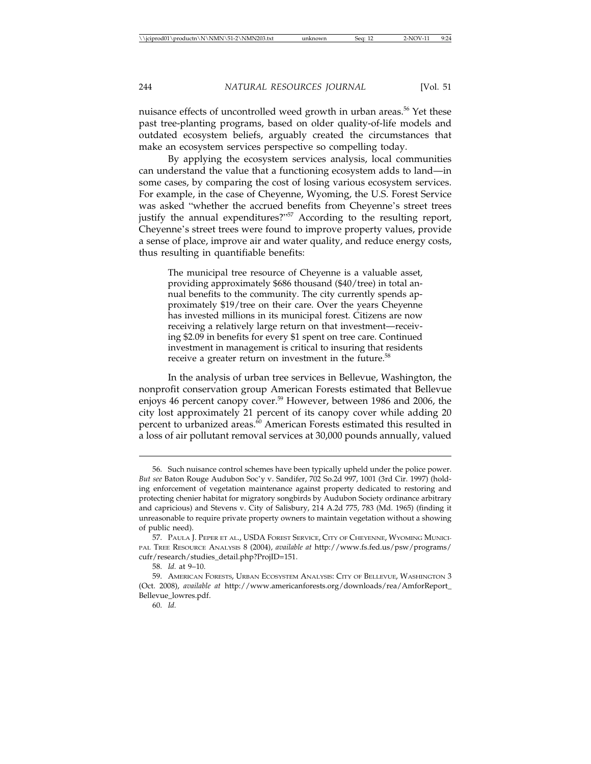nuisance effects of uncontrolled weed growth in urban areas.<sup>56</sup> Yet these past tree-planting programs, based on older quality-of-life models and outdated ecosystem beliefs, arguably created the circumstances that make an ecosystem services perspective so compelling today.

By applying the ecosystem services analysis, local communities can understand the value that a functioning ecosystem adds to land—in some cases, by comparing the cost of losing various ecosystem services. For example, in the case of Cheyenne, Wyoming, the U.S. Forest Service was asked "whether the accrued benefits from Cheyenne's street trees justify the annual expenditures?"<sup>57</sup> According to the resulting report, Cheyenne's street trees were found to improve property values, provide a sense of place, improve air and water quality, and reduce energy costs, thus resulting in quantifiable benefits:

The municipal tree resource of Cheyenne is a valuable asset, providing approximately \$686 thousand (\$40/tree) in total annual benefits to the community. The city currently spends approximately \$19/tree on their care. Over the years Cheyenne has invested millions in its municipal forest. Citizens are now receiving a relatively large return on that investment—receiving \$2.09 in benefits for every \$1 spent on tree care. Continued investment in management is critical to insuring that residents receive a greater return on investment in the future.<sup>58</sup>

In the analysis of urban tree services in Bellevue, Washington, the nonprofit conservation group American Forests estimated that Bellevue enjoys 46 percent canopy cover.<sup>59</sup> However, between 1986 and 2006, the city lost approximately 21 percent of its canopy cover while adding 20 percent to urbanized areas.<sup> $\bar{60}$ </sup> American Forests estimated this resulted in a loss of air pollutant removal services at 30,000 pounds annually, valued

60. *Id.*

<sup>56.</sup> Such nuisance control schemes have been typically upheld under the police power. *But see* Baton Rouge Audubon Soc'y v. Sandifer, 702 So.2d 997, 1001 (3rd Cir. 1997) (holding enforcement of vegetation maintenance against property dedicated to restoring and protecting chenier habitat for migratory songbirds by Audubon Society ordinance arbitrary and capricious) and Stevens v. City of Salisbury, 214 A.2d 775, 783 (Md. 1965) (finding it unreasonable to require private property owners to maintain vegetation without a showing of public need).

<sup>57.</sup> PAULA J. PEPER ET AL., USDA FOREST SERVICE, CITY OF CHEYENNE, WYOMING MUNICI-PAL TREE RESOURCE ANALYSIS 8 (2004), *available at* http://www.fs.fed.us/psw/programs/ cufr/research/studies\_detail.php?ProjID=151.

<sup>58.</sup> *Id.* at 9–10.

<sup>59.</sup> AMERICAN FORESTS, URBAN ECOSYSTEM ANALYSIS: CITY OF BELLEVUE, WASHINGTON 3 (Oct. 2008), *available at* http://www.americanforests.org/downloads/rea/AmforReport\_ Bellevue\_lowres.pdf.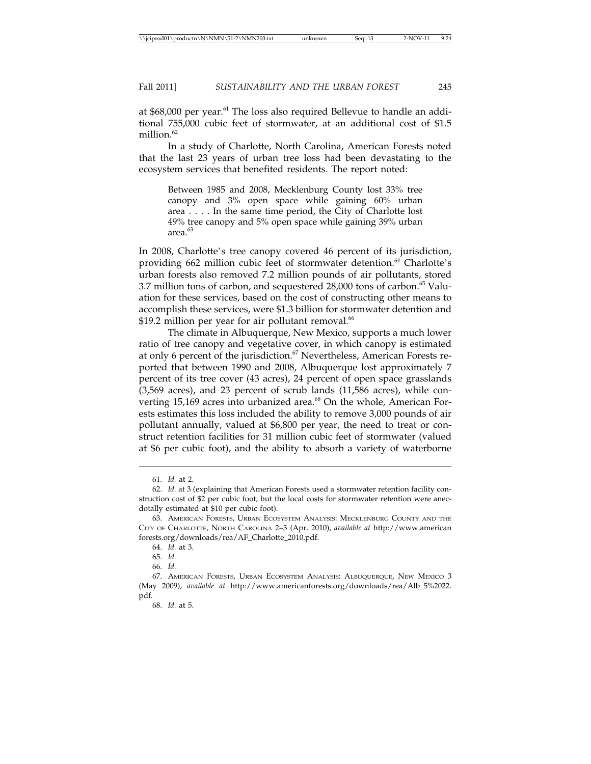at \$68,000 per year.<sup>61</sup> The loss also required Bellevue to handle an additional 755,000 cubic feet of stormwater, at an additional cost of \$1.5 million.<sup>62</sup>

In a study of Charlotte, North Carolina, American Forests noted that the last 23 years of urban tree loss had been devastating to the ecosystem services that benefited residents. The report noted:

Between 1985 and 2008, Mecklenburg County lost 33% tree canopy and 3% open space while gaining 60% urban area . . . . In the same time period, the City of Charlotte lost 49% tree canopy and 5% open space while gaining 39% urban area.<sup>63</sup>

In 2008, Charlotte's tree canopy covered 46 percent of its jurisdiction, providing 662 million cubic feet of stormwater detention.<sup>64</sup> Charlotte's urban forests also removed 7.2 million pounds of air pollutants, stored 3.7 million tons of carbon, and sequestered 28,000 tons of carbon.<sup>65</sup> Valuation for these services, based on the cost of constructing other means to accomplish these services, were \$1.3 billion for stormwater detention and \$19.2 million per year for air pollutant removal.<sup>66</sup>

The climate in Albuquerque, New Mexico, supports a much lower ratio of tree canopy and vegetative cover, in which canopy is estimated at only 6 percent of the jurisdiction.<sup>67</sup> Nevertheless, American Forests reported that between 1990 and 2008, Albuquerque lost approximately 7 percent of its tree cover (43 acres), 24 percent of open space grasslands (3,569 acres), and 23 percent of scrub lands (11,586 acres), while converting 15,169 acres into urbanized area.<sup>68</sup> On the whole, American Forests estimates this loss included the ability to remove 3,000 pounds of air pollutant annually, valued at \$6,800 per year, the need to treat or construct retention facilities for 31 million cubic feet of stormwater (valued at \$6 per cubic foot), and the ability to absorb a variety of waterborne

66. *Id.*

68. *Id.* at 5.

<sup>61.</sup> *Id.* at 2.

<sup>62.</sup> *Id.* at 3 (explaining that American Forests used a stormwater retention facility construction cost of \$2 per cubic foot, but the local costs for stormwater retention were anecdotally estimated at \$10 per cubic foot).

<sup>63.</sup> AMERICAN FORESTS, URBAN ECOSYSTEM ANALYSIS: MECKLENBURG COUNTY AND THE CITY OF CHARLOTTE, NORTH CAROLINA 2–3 (Apr. 2010), *available at* http://www.american forests.org/downloads/rea/AF\_Charlotte\_2010.pdf.

<sup>64.</sup> *Id.* at 3.

<sup>65.</sup> *Id.*

<sup>67.</sup> AMERICAN FORESTS, URBAN ECOSYSTEM ANALYSIS: ALBUQUERQUE, NEW MEXICO 3 (May 2009), *available at* http://www.americanforests.org/downloads/rea/Alb\_5%2022. pdf.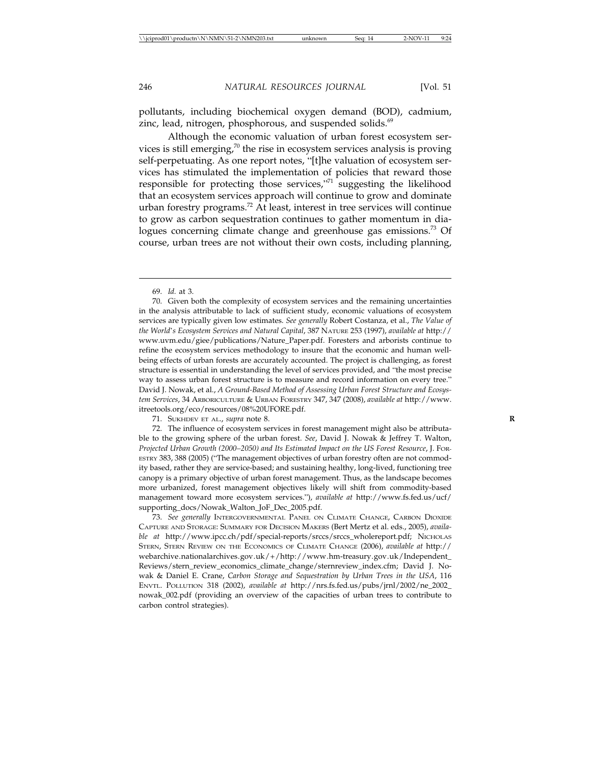pollutants, including biochemical oxygen demand (BOD), cadmium, zinc, lead, nitrogen, phosphorous, and suspended solids. $69$ 

Although the economic valuation of urban forest ecosystem services is still emerging, $\frac{70}{10}$  the rise in ecosystem services analysis is proving self-perpetuating. As one report notes, "[t]he valuation of ecosystem services has stimulated the implementation of policies that reward those responsible for protecting those services,"71 suggesting the likelihood that an ecosystem services approach will continue to grow and dominate urban forestry programs.<sup>72</sup> At least, interest in tree services will continue to grow as carbon sequestration continues to gather momentum in dialogues concerning climate change and greenhouse gas emissions.<sup>73</sup> Of course, urban trees are not without their own costs, including planning,

70. Given both the complexity of ecosystem services and the remaining uncertainties in the analysis attributable to lack of sufficient study, economic valuations of ecosystem services are typically given low estimates. *See generally* Robert Costanza, et al., *The Value of the World*'*s Ecosystem Services and Natural Capital*, 387 NATURE 253 (1997), *available at* http:// www.uvm.edu/giee/publications/Nature\_Paper.pdf. Foresters and arborists continue to refine the ecosystem services methodology to insure that the economic and human wellbeing effects of urban forests are accurately accounted. The project is challenging, as forest structure is essential in understanding the level of services provided, and "the most precise way to assess urban forest structure is to measure and record information on every tree." David J. Nowak, et al., *A Ground-Based Method of Assessing Urban Forest Structure and Ecosystem Services*, 34 ARBORICULTURE & URBAN FORESTRY 347, 347 (2008), *available at* http://www. itreetools.org/eco/resources/08%20UFORE.pdf.

71. SUKHDEV ET AL., *supra* note 8. **R**

72. The influence of ecosystem services in forest management might also be attributable to the growing sphere of the urban forest. *See*, David J. Nowak & Jeffrey T. Walton, *Projected Urban Growth (2000–2050) and Its Estimated Impact on the US Forest Resource*, J. FOR-ESTRY 383, 388 (2005) ("The management objectives of urban forestry often are not commodity based, rather they are service-based; and sustaining healthy, long-lived, functioning tree canopy is a primary objective of urban forest management. Thus, as the landscape becomes more urbanized, forest management objectives likely will shift from commodity-based management toward more ecosystem services."), *available at* http://www.fs.fed.us/ucf/ supporting\_docs/Nowak\_Walton\_JoF\_Dec\_2005.pdf.

73. *See generally* INTERGOVERNMENTAL PANEL ON CLIMATE CHANGE, CARBON DIOXIDE CAPTURE AND STORAGE: SUMMARY FOR DECISION MAKERS (Bert Mertz et al. eds., 2005), *available at* http://www.ipcc.ch/pdf/special-reports/srccs/srccs\_wholereport.pdf; NICHOLAS STERN, STERN REVIEW ON THE ECONOMICS OF CLIMATE CHANGE (2006), *available at* http:// webarchive.nationalarchives.gov.uk/+/http://www.hm-treasury.gov.uk/Independent\_ Reviews/stern\_review\_economics\_climate\_change/sternreview\_index.cfm; David J. Nowak & Daniel E. Crane, *Carbon Storage and Sequestration by Urban Trees in the USA*, 116 ENVTL. POLLUTION 318 (2002), *available at* http://nrs.fs.fed.us/pubs/jrnl/2002/ne\_2002\_ nowak\_002.pdf (providing an overview of the capacities of urban trees to contribute to carbon control strategies).

<sup>69.</sup> *Id.* at 3.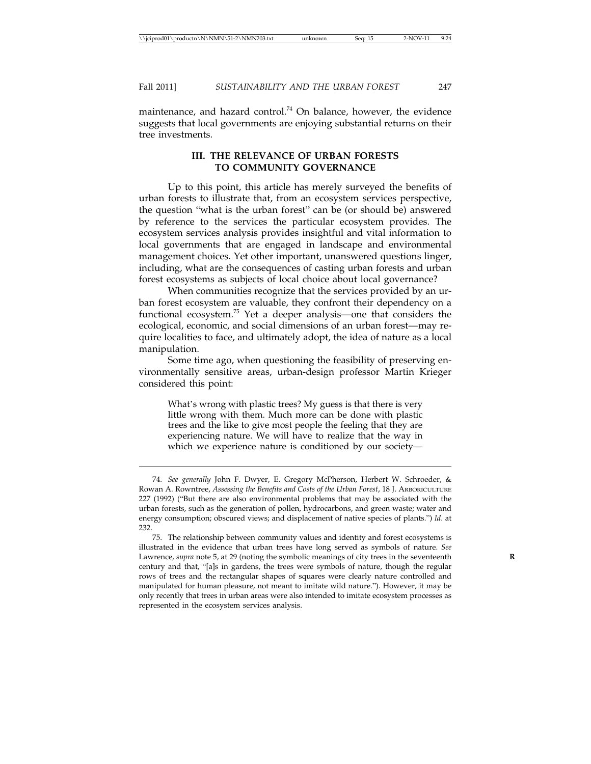maintenance, and hazard control.<sup>74</sup> On balance, however, the evidence suggests that local governments are enjoying substantial returns on their tree investments.

# **III. THE RELEVANCE OF URBAN FORESTS TO COMMUNITY GOVERNANCE**

Up to this point, this article has merely surveyed the benefits of urban forests to illustrate that, from an ecosystem services perspective, the question "what is the urban forest" can be (or should be) answered by reference to the services the particular ecosystem provides. The ecosystem services analysis provides insightful and vital information to local governments that are engaged in landscape and environmental management choices. Yet other important, unanswered questions linger, including, what are the consequences of casting urban forests and urban forest ecosystems as subjects of local choice about local governance?

When communities recognize that the services provided by an urban forest ecosystem are valuable, they confront their dependency on a functional ecosystem.75 Yet a deeper analysis—one that considers the ecological, economic, and social dimensions of an urban forest—may require localities to face, and ultimately adopt, the idea of nature as a local manipulation.

Some time ago, when questioning the feasibility of preserving environmentally sensitive areas, urban-design professor Martin Krieger considered this point:

What's wrong with plastic trees? My guess is that there is very little wrong with them. Much more can be done with plastic trees and the like to give most people the feeling that they are experiencing nature. We will have to realize that the way in which we experience nature is conditioned by our society—

<sup>74.</sup> *See generally* John F. Dwyer, E. Gregory McPherson, Herbert W. Schroeder, & Rowan A. Rowntree, *Assessing the Benefits and Costs of the Urban Forest*, 18 J. ARBORICULTURE 227 (1992) ("But there are also environmental problems that may be associated with the urban forests, such as the generation of pollen, hydrocarbons, and green waste; water and energy consumption; obscured views; and displacement of native species of plants.") *Id.* at 232.

<sup>75.</sup> The relationship between community values and identity and forest ecosystems is illustrated in the evidence that urban trees have long served as symbols of nature. *See* Lawrence, *supra* note 5, at 29 (noting the symbolic meanings of city trees in the seventeenth century and that, "[a]s in gardens, the trees were symbols of nature, though the regular rows of trees and the rectangular shapes of squares were clearly nature controlled and manipulated for human pleasure, not meant to imitate wild nature."). However, it may be only recently that trees in urban areas were also intended to imitate ecosystem processes as represented in the ecosystem services analysis.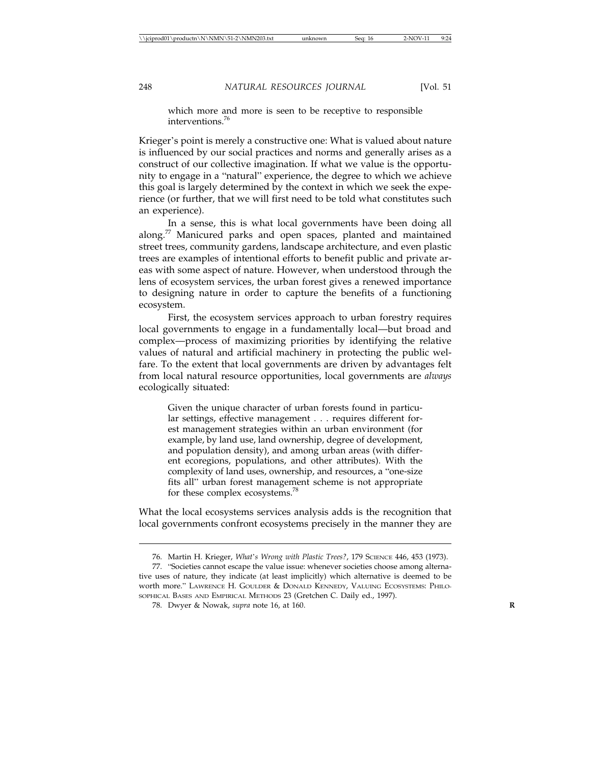which more and more is seen to be receptive to responsible interventions.<sup>76</sup>

Krieger's point is merely a constructive one: What is valued about nature is influenced by our social practices and norms and generally arises as a construct of our collective imagination. If what we value is the opportunity to engage in a "natural" experience, the degree to which we achieve this goal is largely determined by the context in which we seek the experience (or further, that we will first need to be told what constitutes such an experience).

In a sense, this is what local governments have been doing all along.77 Manicured parks and open spaces, planted and maintained street trees, community gardens, landscape architecture, and even plastic trees are examples of intentional efforts to benefit public and private areas with some aspect of nature. However, when understood through the lens of ecosystem services, the urban forest gives a renewed importance to designing nature in order to capture the benefits of a functioning ecosystem.

First, the ecosystem services approach to urban forestry requires local governments to engage in a fundamentally local—but broad and complex—process of maximizing priorities by identifying the relative values of natural and artificial machinery in protecting the public welfare. To the extent that local governments are driven by advantages felt from local natural resource opportunities, local governments are *always* ecologically situated:

Given the unique character of urban forests found in particular settings, effective management... requires different forest management strategies within an urban environment (for example, by land use, land ownership, degree of development, and population density), and among urban areas (with different ecoregions, populations, and other attributes). With the complexity of land uses, ownership, and resources, a "one-size fits all" urban forest management scheme is not appropriate for these complex ecosystems.78

What the local ecosystems services analysis adds is the recognition that local governments confront ecosystems precisely in the manner they are

<sup>76.</sup> Martin H. Krieger, *What*'*s Wrong with Plastic Trees?*, 179 SCIENCE 446, 453 (1973).

<sup>77.</sup> "Societies cannot escape the value issue: whenever societies choose among alternative uses of nature, they indicate (at least implicitly) which alternative is deemed to be worth more." LAWRENCE H. GOULDER & DONALD KENNEDY, VALUING ECOSYSTEMS: PHILO-SOPHICAL BASES AND EMPIRICAL METHODS 23 (Gretchen C. Daily ed., 1997).

<sup>78.</sup> Dwyer & Nowak, *supra* note 16, at 160. **R**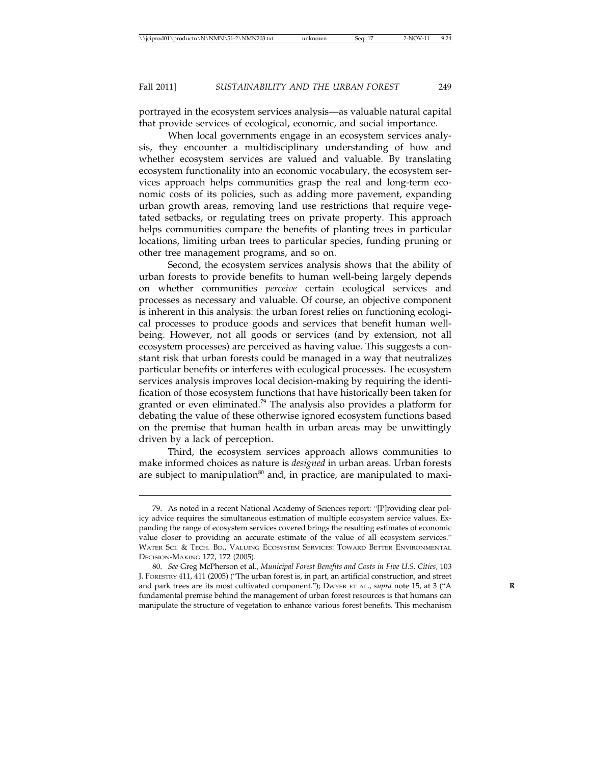portrayed in the ecosystem services analysis—as valuable natural capital that provide services of ecological, economic, and social importance.

When local governments engage in an ecosystem services analysis, they encounter a multidisciplinary understanding of how and whether ecosystem services are valued and valuable. By translating ecosystem functionality into an economic vocabulary, the ecosystem services approach helps communities grasp the real and long-term economic costs of its policies, such as adding more pavement, expanding urban growth areas, removing land use restrictions that require vegetated setbacks, or regulating trees on private property. This approach helps communities compare the benefits of planting trees in particular locations, limiting urban trees to particular species, funding pruning or other tree management programs, and so on.

Second, the ecosystem services analysis shows that the ability of urban forests to provide benefits to human well-being largely depends on whether communities *perceive* certain ecological services and processes as necessary and valuable. Of course, an objective component is inherent in this analysis: the urban forest relies on functioning ecological processes to produce goods and services that benefit human wellbeing. However, not all goods or services (and by extension, not all ecosystem processes) are perceived as having value. This suggests a constant risk that urban forests could be managed in a way that neutralizes particular benefits or interferes with ecological processes. The ecosystem services analysis improves local decision-making by requiring the identification of those ecosystem functions that have historically been taken for granted or even eliminated.<sup>79</sup> The analysis also provides a platform for debating the value of these otherwise ignored ecosystem functions based on the premise that human health in urban areas may be unwittingly driven by a lack of perception.

Third, the ecosystem services approach allows communities to make informed choices as nature is *designed* in urban areas. Urban forests are subject to manipulation<sup>80</sup> and, in practice, are manipulated to maxi-

<sup>79.</sup> As noted in a recent National Academy of Sciences report: "[P]roviding clear policy advice requires the simultaneous estimation of multiple ecosystem service values. Expanding the range of ecosystem services covered brings the resulting estimates of economic value closer to providing an accurate estimate of the value of all ecosystem services." WATER SCI. & TECH. BD., VALUING ECOSYSTEM SERVICES: TOWARD BETTER ENVIRONMENTAL DECISION-MAKING 172, 172 (2005).

<sup>80.</sup> *See* Greg McPherson et al., *Municipal Forest Benefits and Costs in Five U.S. Cities,* 103 J. FORESTRY 411, 411 (2005) ("The urban forest is, in part, an artificial construction, and street and park trees are its most cultivated component."); DWYER ET AL., *supra* note 15, at 3 ("A fundamental premise behind the management of urban forest resources is that humans can manipulate the structure of vegetation to enhance various forest benefits. This mechanism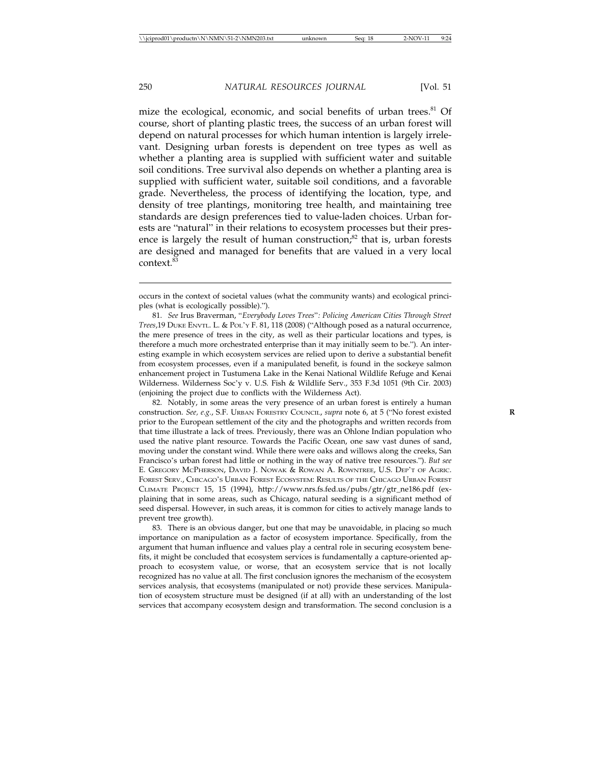mize the ecological, economic, and social benefits of urban trees.<sup>81</sup> Of course, short of planting plastic trees, the success of an urban forest will depend on natural processes for which human intention is largely irrelevant. Designing urban forests is dependent on tree types as well as whether a planting area is supplied with sufficient water and suitable soil conditions. Tree survival also depends on whether a planting area is supplied with sufficient water, suitable soil conditions, and a favorable grade. Nevertheless, the process of identifying the location, type, and density of tree plantings, monitoring tree health, and maintaining tree standards are design preferences tied to value-laden choices. Urban forests are "natural" in their relations to ecosystem processes but their presence is largely the result of human construction; $82$  that is, urban forests are designed and managed for benefits that are valued in a very local context.<sup>83</sup>

82. Notably, in some areas the very presence of an urban forest is entirely a human construction. *See, e.g.*, S.F. URBAN FORESTRY COUNCIL, *supra* note 6, at 5 ("No forest existed **R** prior to the European settlement of the city and the photographs and written records from that time illustrate a lack of trees. Previously, there was an Ohlone Indian population who used the native plant resource. Towards the Pacific Ocean, one saw vast dunes of sand, moving under the constant wind. While there were oaks and willows along the creeks, San Francisco's urban forest had little or nothing in the way of native tree resources."). *But see* E. GREGORY MCPHERSON, DAVID J. NOWAK & ROWAN A. ROWNTREE, U.S. DEP'T OF AGRIC. FOREST SERV., CHICAGO'S URBAN FOREST ECOSYSTEM: RESULTS OF THE CHICAGO URBAN FOREST CLIMATE PROJECT 15, 15 (1994), http://www.nrs.fs.fed.us/pubs/gtr/gtr\_ne186.pdf (explaining that in some areas, such as Chicago, natural seeding is a significant method of seed dispersal. However, in such areas, it is common for cities to actively manage lands to prevent tree growth).

83. There is an obvious danger, but one that may be unavoidable, in placing so much importance on manipulation as a factor of ecosystem importance. Specifically, from the argument that human influence and values play a central role in securing ecosystem benefits, it might be concluded that ecosystem services is fundamentally a capture-oriented approach to ecosystem value, or worse, that an ecosystem service that is not locally recognized has no value at all. The first conclusion ignores the mechanism of the ecosystem services analysis, that ecosystems (manipulated or not) provide these services. Manipulation of ecosystem structure must be designed (if at all) with an understanding of the lost services that accompany ecosystem design and transformation. The second conclusion is a

occurs in the context of societal values (what the community wants) and ecological principles (what is ecologically possible).").

<sup>81.</sup> *See* Irus Braverman, "*Everybody Loves Trees*"*: Policing American Cities Through Street Trees*,19 DUKE ENVTL. L. & POL'Y F. 81, 118 (2008) ("Although posed as a natural occurrence, the mere presence of trees in the city, as well as their particular locations and types, is therefore a much more orchestrated enterprise than it may initially seem to be."). An interesting example in which ecosystem services are relied upon to derive a substantial benefit from ecosystem processes, even if a manipulated benefit, is found in the sockeye salmon enhancement project in Tustumena Lake in the Kenai National Wildlife Refuge and Kenai Wilderness. Wilderness Soc'y v. U.S. Fish & Wildlife Serv., 353 F.3d 1051 (9th Cir. 2003) (enjoining the project due to conflicts with the Wilderness Act).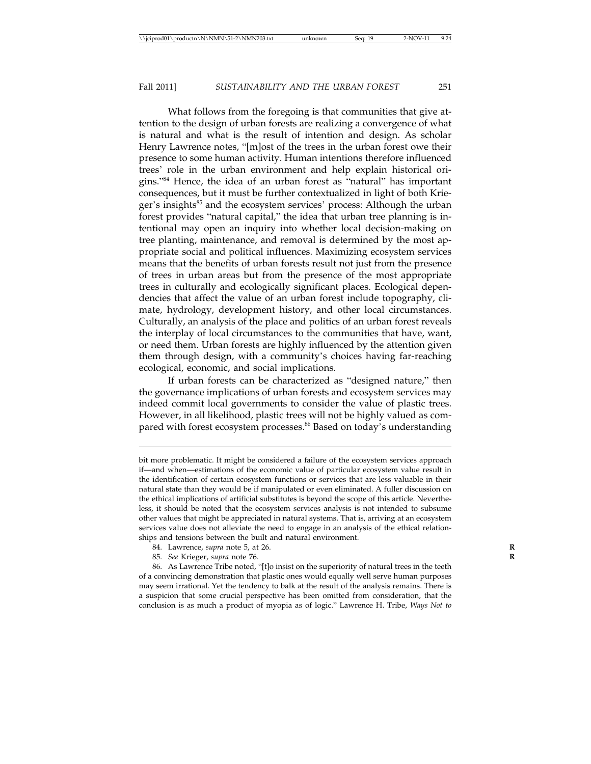What follows from the foregoing is that communities that give attention to the design of urban forests are realizing a convergence of what is natural and what is the result of intention and design. As scholar Henry Lawrence notes, "[m]ost of the trees in the urban forest owe their presence to some human activity. Human intentions therefore influenced trees' role in the urban environment and help explain historical origins."84 Hence, the idea of an urban forest as "natural" has important consequences, but it must be further contextualized in light of both Krieger's insights<sup>85</sup> and the ecosystem services' process: Although the urban forest provides "natural capital," the idea that urban tree planning is intentional may open an inquiry into whether local decision-making on tree planting, maintenance, and removal is determined by the most appropriate social and political influences. Maximizing ecosystem services means that the benefits of urban forests result not just from the presence of trees in urban areas but from the presence of the most appropriate trees in culturally and ecologically significant places. Ecological dependencies that affect the value of an urban forest include topography, climate, hydrology, development history, and other local circumstances. Culturally, an analysis of the place and politics of an urban forest reveals the interplay of local circumstances to the communities that have, want, or need them. Urban forests are highly influenced by the attention given them through design, with a community's choices having far-reaching ecological, economic, and social implications.

If urban forests can be characterized as "designed nature," then the governance implications of urban forests and ecosystem services may indeed commit local governments to consider the value of plastic trees. However, in all likelihood, plastic trees will not be highly valued as compared with forest ecosystem processes.<sup>86</sup> Based on today's understanding

85. *See* Krieger, *supra* note 76. **R**

86. As Lawrence Tribe noted, "[t]o insist on the superiority of natural trees in the teeth of a convincing demonstration that plastic ones would equally well serve human purposes may seem irrational. Yet the tendency to balk at the result of the analysis remains. There is a suspicion that some crucial perspective has been omitted from consideration, that the conclusion is as much a product of myopia as of logic." Lawrence H. Tribe, *Ways Not to*

bit more problematic. It might be considered a failure of the ecosystem services approach if—and when—estimations of the economic value of particular ecosystem value result in the identification of certain ecosystem functions or services that are less valuable in their natural state than they would be if manipulated or even eliminated. A fuller discussion on the ethical implications of artificial substitutes is beyond the scope of this article. Nevertheless, it should be noted that the ecosystem services analysis is not intended to subsume other values that might be appreciated in natural systems. That is, arriving at an ecosystem services value does not alleviate the need to engage in an analysis of the ethical relationships and tensions between the built and natural environment.

<sup>84.</sup> Lawrence, *supra* note 5, at 26. **R**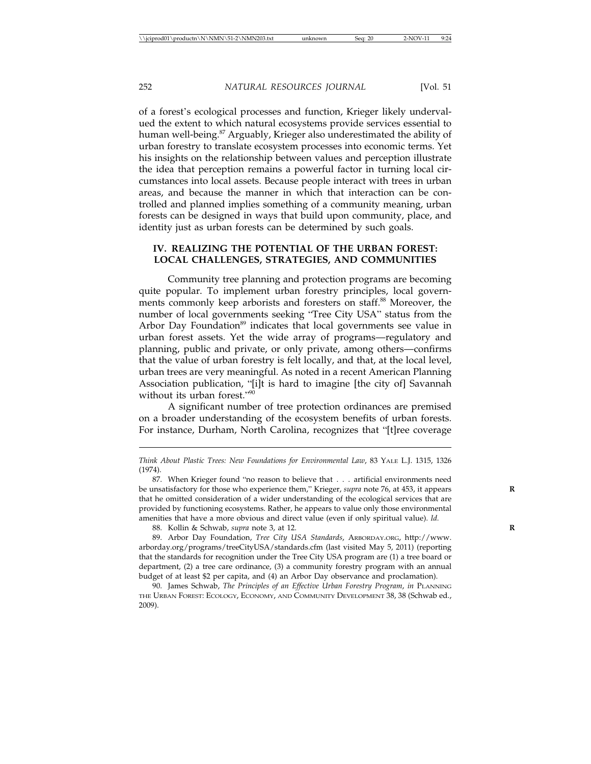of a forest's ecological processes and function, Krieger likely undervalued the extent to which natural ecosystems provide services essential to human well-being.<sup>87</sup> Arguably, Krieger also underestimated the ability of urban forestry to translate ecosystem processes into economic terms. Yet his insights on the relationship between values and perception illustrate the idea that perception remains a powerful factor in turning local circumstances into local assets. Because people interact with trees in urban areas, and because the manner in which that interaction can be controlled and planned implies something of a community meaning, urban forests can be designed in ways that build upon community, place, and identity just as urban forests can be determined by such goals.

# **IV. REALIZING THE POTENTIAL OF THE URBAN FOREST: LOCAL CHALLENGES, STRATEGIES, AND COMMUNITIES**

Community tree planning and protection programs are becoming quite popular. To implement urban forestry principles, local governments commonly keep arborists and foresters on staff.<sup>88</sup> Moreover, the number of local governments seeking "Tree City USA" status from the Arbor Day Foundation<sup>89</sup> indicates that local governments see value in urban forest assets. Yet the wide array of programs—regulatory and planning, public and private, or only private, among others—confirms that the value of urban forestry is felt locally, and that, at the local level, urban trees are very meaningful. As noted in a recent American Planning Association publication, "[i]t is hard to imagine [the city of] Savannah without its urban forest."90

A significant number of tree protection ordinances are premised on a broader understanding of the ecosystem benefits of urban forests. For instance, Durham, North Carolina, recognizes that "[t]ree coverage

88. Kollin & Schwab, *supra* note 3, at 12. **R**

89. Arbor Day Foundation, *Tree City USA Standards*, ARBORDAY.ORG, http://www. arborday.org/programs/treeCityUSA/standards.cfm (last visited May 5, 2011) (reporting that the standards for recognition under the Tree City USA program are (1) a tree board or department, (2) a tree care ordinance, (3) a community forestry program with an annual budget of at least \$2 per capita, and (4) an Arbor Day observance and proclamation).

90. James Schwab, *The Principles of an Effective Urban Forestry Program*, *in* PLANNING THE URBAN FOREST: ECOLOGY, ECONOMY, AND COMMUNITY DEVELOPMENT 38, 38 (Schwab ed., 2009).

*Think About Plastic Trees: New Foundations for Environmental Law*, 83 YALE L.J. 1315, 1326 (1974).

<sup>87.</sup> When Krieger found "no reason to believe that... artificial environments need be unsatisfactory for those who experience them," Krieger, *supra* note 76, at 453, it appears **R** that he omitted consideration of a wider understanding of the ecological services that are provided by functioning ecosystems. Rather, he appears to value only those environmental amenities that have a more obvious and direct value (even if only spiritual value). *Id.*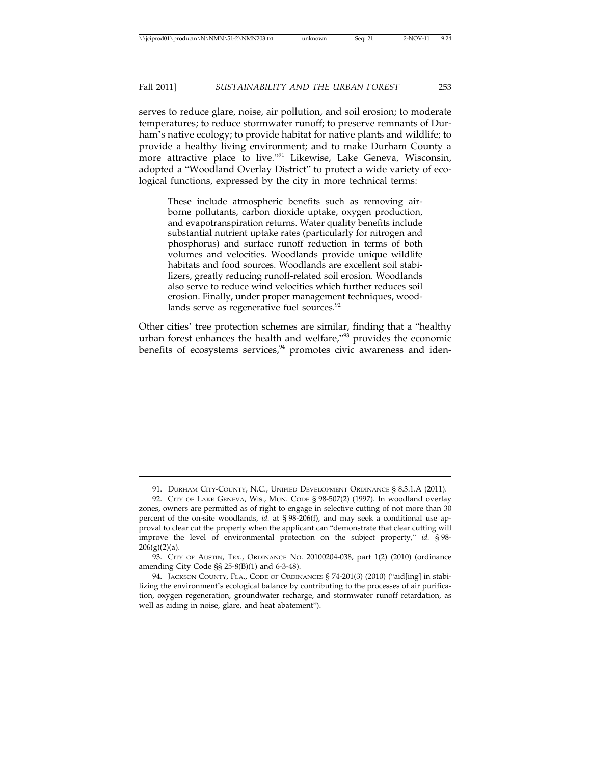serves to reduce glare, noise, air pollution, and soil erosion; to moderate temperatures; to reduce stormwater runoff; to preserve remnants of Durham's native ecology; to provide habitat for native plants and wildlife; to provide a healthy living environment; and to make Durham County a more attractive place to live."91 Likewise, Lake Geneva, Wisconsin, adopted a "Woodland Overlay District" to protect a wide variety of ecological functions, expressed by the city in more technical terms:

These include atmospheric benefits such as removing airborne pollutants, carbon dioxide uptake, oxygen production, and evapotranspiration returns. Water quality benefits include substantial nutrient uptake rates (particularly for nitrogen and phosphorus) and surface runoff reduction in terms of both volumes and velocities. Woodlands provide unique wildlife habitats and food sources. Woodlands are excellent soil stabilizers, greatly reducing runoff-related soil erosion. Woodlands also serve to reduce wind velocities which further reduces soil erosion. Finally, under proper management techniques, woodlands serve as regenerative fuel sources.<sup>92</sup>

Other cities' tree protection schemes are similar, finding that a "healthy urban forest enhances the health and welfare,"93 provides the economic benefits of ecosystems services, $94$  promotes civic awareness and iden-

<sup>91.</sup> DURHAM CITY-COUNTY, N.C., UNIFIED DEVELOPMENT ORDINANCE § 8.3.1.A (2011).

<sup>92.</sup> CITY OF LAKE GENEVA, WIS., MUN. CODE § 98-507(2) (1997). In woodland overlay zones, owners are permitted as of right to engage in selective cutting of not more than 30 percent of the on-site woodlands, *id.* at § 98-206(f), and may seek a conditional use approval to clear cut the property when the applicant can "demonstrate that clear cutting will improve the level of environmental protection on the subject property," *id.* § 98-  $206(g)(2)(a)$ .

<sup>93.</sup> CITY OF AUSTIN, TEX., ORDINANCE NO. 20100204-038, part 1(2) (2010) (ordinance amending City Code §§ 25-8(B)(1) and 6-3-48).

<sup>94.</sup> JACKSON COUNTY, FLA., CODE OF ORDINANCES § 74-201(3) (2010) ("aid[ing] in stabilizing the environment's ecological balance by contributing to the processes of air purification, oxygen regeneration, groundwater recharge, and stormwater runoff retardation, as well as aiding in noise, glare, and heat abatement").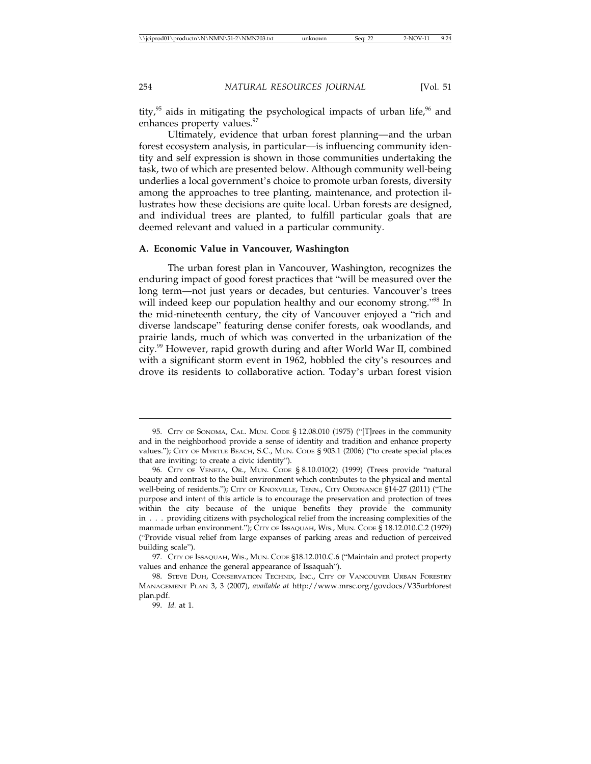tity, $95$  aids in mitigating the psychological impacts of urban life, $96$  and enhances property values.<sup>97</sup>

Ultimately, evidence that urban forest planning—and the urban forest ecosystem analysis, in particular—is influencing community identity and self expression is shown in those communities undertaking the task, two of which are presented below. Although community well-being underlies a local government's choice to promote urban forests, diversity among the approaches to tree planting, maintenance, and protection illustrates how these decisions are quite local. Urban forests are designed, and individual trees are planted, to fulfill particular goals that are deemed relevant and valued in a particular community.

#### **A. Economic Value in Vancouver, Washington**

The urban forest plan in Vancouver, Washington, recognizes the enduring impact of good forest practices that "will be measured over the long term—not just years or decades, but centuries. Vancouver's trees will indeed keep our population healthy and our economy strong."<sup>98</sup> In the mid-nineteenth century, the city of Vancouver enjoyed a "rich and diverse landscape" featuring dense conifer forests, oak woodlands, and prairie lands, much of which was converted in the urbanization of the city.99 However, rapid growth during and after World War II, combined with a significant storm event in 1962, hobbled the city's resources and drove its residents to collaborative action. Today's urban forest vision

99. *Id.* at 1.

<sup>95.</sup> CITY OF SONOMA, CAL. MUN. CODE § 12.08.010 (1975) ("[T]rees in the community and in the neighborhood provide a sense of identity and tradition and enhance property values."); CITY OF MYRTLE BEACH, S.C., MUN. CODE § 903.1 (2006) ("to create special places that are inviting; to create a civic identity").

<sup>96.</sup> CITY OF VENETA, OR., MUN. CODE § 8.10.010(2) (1999) (Trees provide "natural beauty and contrast to the built environment which contributes to the physical and mental well-being of residents."); CITY OF KNOXVILLE, TENN., CITY ORDINANCE §14-27 (2011) ("The purpose and intent of this article is to encourage the preservation and protection of trees within the city because of the unique benefits they provide the community in . . . providing citizens with psychological relief from the increasing complexities of the manmade urban environment."); CITY OF ISSAQUAH, WIS., MUN. CODE § 18.12.010.C.2 (1979) ("Provide visual relief from large expanses of parking areas and reduction of perceived building scale").

<sup>97.</sup> CITY OF ISSAQUAH, WIS., MUN. CODE §18.12.010.C.6 ("Maintain and protect property values and enhance the general appearance of Issaquah").

<sup>98.</sup> STEVE DUH, CONSERVATION TECHNIX, INC., CITY OF VANCOUVER URBAN FORESTRY MANAGEMENT PLAN 3, 3 (2007), *available at* http://www.mrsc.org/govdocs/V35urbforest plan.pdf.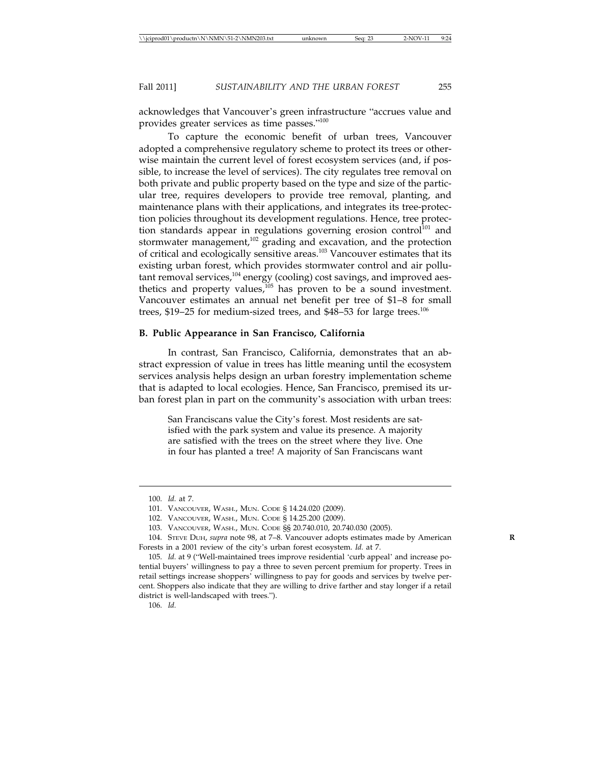acknowledges that Vancouver's green infrastructure "accrues value and provides greater services as time passes."<sup>100</sup>

To capture the economic benefit of urban trees, Vancouver adopted a comprehensive regulatory scheme to protect its trees or otherwise maintain the current level of forest ecosystem services (and, if possible, to increase the level of services). The city regulates tree removal on both private and public property based on the type and size of the particular tree, requires developers to provide tree removal, planting, and maintenance plans with their applications, and integrates its tree-protection policies throughout its development regulations. Hence, tree protection standards appear in regulations governing erosion control<sup>101</sup> and stormwater management, $102$  grading and excavation, and the protection of critical and ecologically sensitive areas.103 Vancouver estimates that its existing urban forest, which provides stormwater control and air pollutant removal services,<sup>104</sup> energy (cooling) cost savings, and improved aesthetics and property values,105 has proven to be a sound investment. Vancouver estimates an annual net benefit per tree of \$1–8 for small trees, \$19-25 for medium-sized trees, and \$48-53 for large trees.<sup>106</sup>

# **B. Public Appearance in San Francisco, California**

In contrast, San Francisco, California, demonstrates that an abstract expression of value in trees has little meaning until the ecosystem services analysis helps design an urban forestry implementation scheme that is adapted to local ecologies. Hence, San Francisco, premised its urban forest plan in part on the community's association with urban trees:

San Franciscans value the City's forest. Most residents are satisfied with the park system and value its presence. A majority are satisfied with the trees on the street where they live. One in four has planted a tree! A majority of San Franciscans want

106. *Id.*

<sup>100.</sup> *Id.* at 7.

<sup>101.</sup> VANCOUVER, WASH., MUN. CODE § 14.24.020 (2009).

<sup>102.</sup> VANCOUVER, WASH., MUN. CODE § 14.25.200 (2009).

<sup>103.</sup> VANCOUVER, WASH., MUN. CODE §§ 20.740.010, 20.740.030 (2005).

<sup>104.</sup> STEVE DUH, *supra* note 98, at 7–8. Vancouver adopts estimates made by American **R** Forests in a 2001 review of the city's urban forest ecosystem. *Id.* at 7.

<sup>105.</sup> *Id.* at 9 ("Well-maintained trees improve residential 'curb appeal' and increase potential buyers' willingness to pay a three to seven percent premium for property. Trees in retail settings increase shoppers' willingness to pay for goods and services by twelve percent. Shoppers also indicate that they are willing to drive farther and stay longer if a retail district is well-landscaped with trees.").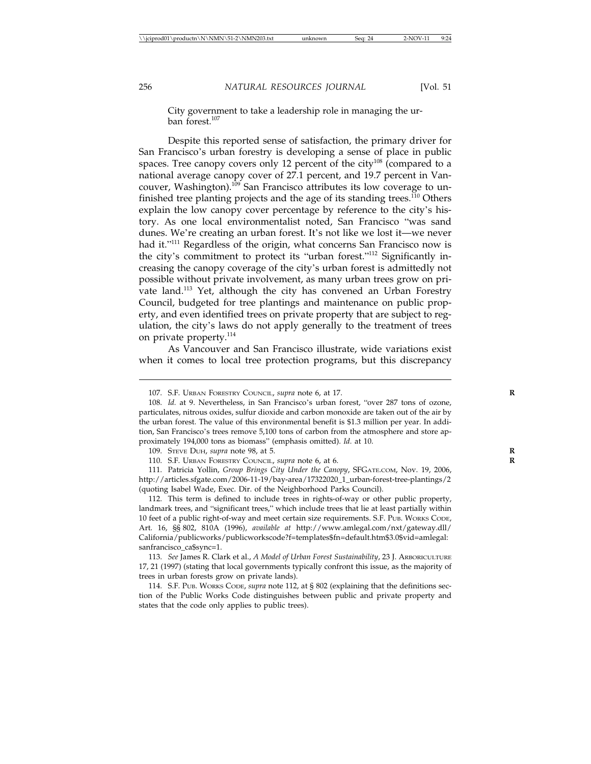City government to take a leadership role in managing the urban forest.<sup>107</sup>

Despite this reported sense of satisfaction, the primary driver for San Francisco's urban forestry is developing a sense of place in public spaces. Tree canopy covers only 12 percent of the city<sup>108</sup> (compared to a national average canopy cover of 27.1 percent, and 19.7 percent in Vancouver, Washington).<sup>109</sup> San Francisco attributes its low coverage to unfinished tree planting projects and the age of its standing trees.<sup>110</sup> Others explain the low canopy cover percentage by reference to the city's history. As one local environmentalist noted, San Francisco "was sand dunes. We're creating an urban forest. It's not like we lost it—we never had it."<sup>111</sup> Regardless of the origin, what concerns San Francisco now is the city's commitment to protect its "urban forest."112 Significantly increasing the canopy coverage of the city's urban forest is admittedly not possible without private involvement, as many urban trees grow on private land.<sup>113</sup> Yet, although the city has convened an Urban Forestry Council, budgeted for tree plantings and maintenance on public property, and even identified trees on private property that are subject to regulation, the city's laws do not apply generally to the treatment of trees on private property.<sup>114</sup>

As Vancouver and San Francisco illustrate, wide variations exist when it comes to local tree protection programs, but this discrepancy

<sup>107.</sup> S.F. URBAN FORESTRY COUNCIL, *supra* note 6, at 17. **R**

<sup>108.</sup> *Id.* at 9. Nevertheless, in San Francisco's urban forest, "over 287 tons of ozone, particulates, nitrous oxides, sulfur dioxide and carbon monoxide are taken out of the air by the urban forest. The value of this environmental benefit is \$1.3 million per year. In addition, San Francisco's trees remove 5,100 tons of carbon from the atmosphere and store approximately 194,000 tons as biomass" (emphasis omitted). *Id.* at 10.

<sup>109.</sup> STEVE DUH, *supra* note 98, at 5. **R**

<sup>110.</sup> S.F. URBAN FORESTRY COUNCIL, *supra* note 6, at 6. **R**

<sup>111.</sup> Patricia Yollin, *Group Brings City Under the Canopy*, SFGATE.COM, Nov. 19, 2006, http://articles.sfgate.com/2006-11-19/bay-area/17322020\_1\_urban-forest-tree-plantings/2 (quoting Isabel Wade, Exec. Dir. of the Neighborhood Parks Council).

<sup>112.</sup> This term is defined to include trees in rights-of-way or other public property, landmark trees, and "significant trees," which include trees that lie at least partially within 10 feet of a public right-of-way and meet certain size requirements. S.F. PUB. WORKS CODE, Art. 16, §§ 802, 810A (1996), *available at* http://www.amlegal.com/nxt/gateway.dll/ California/publicworks/publicworkscode?f=templates\$fn=default.htm\$3.0\$vid=amlegal: sanfrancisco\_ca\$sync=1.

<sup>113.</sup> *See* James R. Clark et al., *A Model of Urban Forest Sustainability*, 23 J. ARBORICULTURE 17, 21 (1997) (stating that local governments typically confront this issue, as the majority of trees in urban forests grow on private lands).

<sup>114.</sup> S.F. PUB. WORKS CODE, *supra* note 112, at § 802 (explaining that the definitions section of the Public Works Code distinguishes between public and private property and states that the code only applies to public trees).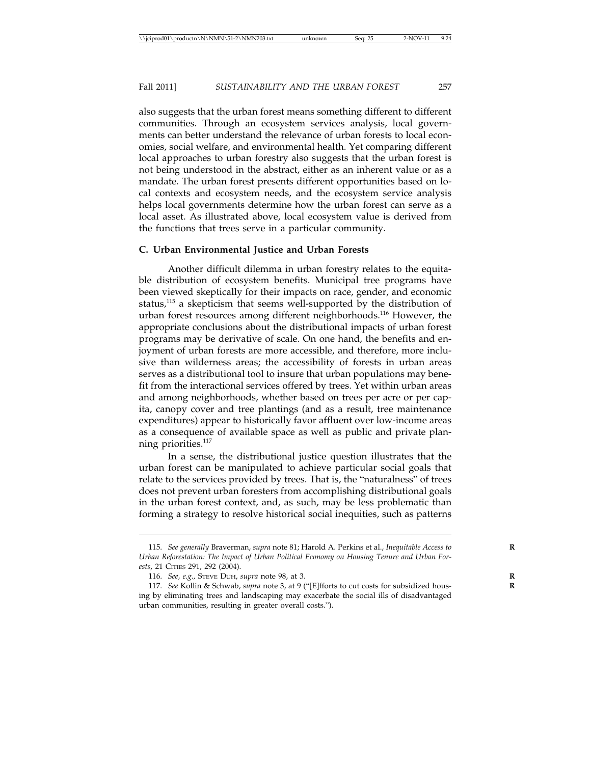also suggests that the urban forest means something different to different communities. Through an ecosystem services analysis, local governments can better understand the relevance of urban forests to local economies, social welfare, and environmental health. Yet comparing different local approaches to urban forestry also suggests that the urban forest is not being understood in the abstract, either as an inherent value or as a mandate. The urban forest presents different opportunities based on local contexts and ecosystem needs, and the ecosystem service analysis helps local governments determine how the urban forest can serve as a local asset. As illustrated above, local ecosystem value is derived from the functions that trees serve in a particular community.

#### **C. Urban Environmental Justice and Urban Forests**

Another difficult dilemma in urban forestry relates to the equitable distribution of ecosystem benefits. Municipal tree programs have been viewed skeptically for their impacts on race, gender, and economic status,<sup>115</sup> a skepticism that seems well-supported by the distribution of urban forest resources among different neighborhoods.<sup>116</sup> However, the appropriate conclusions about the distributional impacts of urban forest programs may be derivative of scale. On one hand, the benefits and enjoyment of urban forests are more accessible, and therefore, more inclusive than wilderness areas; the accessibility of forests in urban areas serves as a distributional tool to insure that urban populations may benefit from the interactional services offered by trees. Yet within urban areas and among neighborhoods, whether based on trees per acre or per capita, canopy cover and tree plantings (and as a result, tree maintenance expenditures) appear to historically favor affluent over low-income areas as a consequence of available space as well as public and private planning priorities.<sup>117</sup>

In a sense, the distributional justice question illustrates that the urban forest can be manipulated to achieve particular social goals that relate to the services provided by trees. That is, the "naturalness" of trees does not prevent urban foresters from accomplishing distributional goals in the urban forest context, and, as such, may be less problematic than forming a strategy to resolve historical social inequities, such as patterns

<sup>115.</sup> *See generally* Braverman, *supra* note 81; Harold A. Perkins et al., *Inequitable Access to* **R** *Urban Reforestation: The Impact of Urban Political Economy on Housing Tenure and Urban Forests*, 21 CITIES 291, 292 (2004).

<sup>116.</sup> *See, e.g.,* STEVE DUH, *supra* note 98, at 3. **R**

<sup>117.</sup> *See* Kollin & Schwab, *supra* note 3, at 9 ("[E]fforts to cut costs for subsidized hous- **R** ing by eliminating trees and landscaping may exacerbate the social ills of disadvantaged urban communities, resulting in greater overall costs.").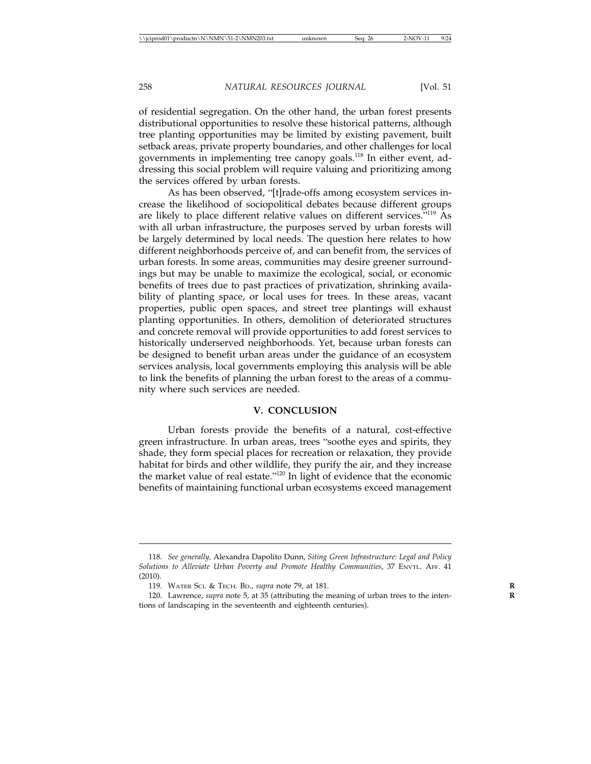of residential segregation. On the other hand, the urban forest presents distributional opportunities to resolve these historical patterns, although tree planting opportunities may be limited by existing pavement, built setback areas, private property boundaries, and other challenges for local governments in implementing tree canopy goals.118 In either event, addressing this social problem will require valuing and prioritizing among the services offered by urban forests.

As has been observed, "[t]rade-offs among ecosystem services increase the likelihood of sociopolitical debates because different groups are likely to place different relative values on different services."119 As with all urban infrastructure, the purposes served by urban forests will be largely determined by local needs. The question here relates to how different neighborhoods perceive of, and can benefit from, the services of urban forests. In some areas, communities may desire greener surroundings but may be unable to maximize the ecological, social, or economic benefits of trees due to past practices of privatization, shrinking availability of planting space, or local uses for trees. In these areas, vacant properties, public open spaces, and street tree plantings will exhaust planting opportunities. In others, demolition of deteriorated structures and concrete removal will provide opportunities to add forest services to historically underserved neighborhoods. Yet, because urban forests can be designed to benefit urban areas under the guidance of an ecosystem services analysis, local governments employing this analysis will be able to link the benefits of planning the urban forest to the areas of a community where such services are needed.

#### **V. CONCLUSION**

Urban forests provide the benefits of a natural, cost-effective green infrastructure. In urban areas, trees "soothe eyes and spirits, they shade, they form special places for recreation or relaxation, they provide habitat for birds and other wildlife, they purify the air, and they increase the market value of real estate."120 In light of evidence that the economic benefits of maintaining functional urban ecosystems exceed management

<sup>118.</sup> *See generally,* Alexandra Dapolito Dunn, *Siting Green Infrastructure: Legal and Policy Solutions to Alleviate Urban Poverty and Promote Healthy Communities*, 37 ENVTL. AFF. 41 (2010).

<sup>119.</sup> WATER SCI. & TECH. BD., *supra* note 79, at 181. **R**

<sup>120.</sup> Lawrence, *supra* note 5, at 35 (attributing the meaning of urban trees to the intentions of landscaping in the seventeenth and eighteenth centuries).